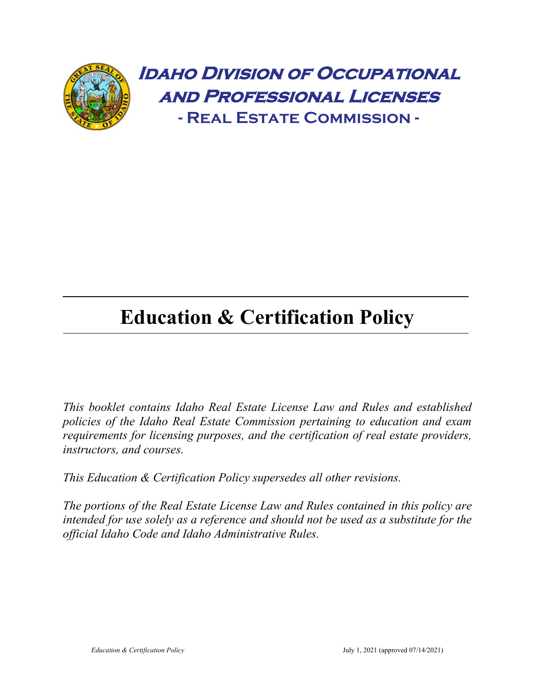

# **Education & Certification Policy**

*This booklet contains Idaho Real Estate License Law and Rules and established policies of the Idaho Real Estate Commission pertaining to education and exam requirements for licensing purposes, and the certification of real estate providers, instructors, and courses.*

*This Education & Certification Policy supersedes all other revisions.*

*The portions of the Real Estate License Law and Rules contained in this policy are intended for use solely as a reference and should not be used as a substitute for the official Idaho Code and Idaho Administrative Rules.*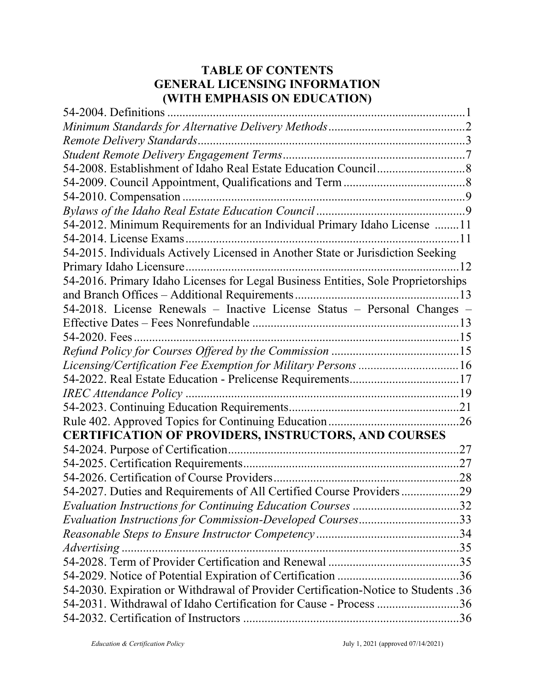# **TABLE OF CONTENTS GENERAL LICENSING INFORMATION (WITH EMPHASIS ON EDUCATION)**

| 54-2012. Minimum Requirements for an Individual Primary Idaho License 11           |     |
|------------------------------------------------------------------------------------|-----|
|                                                                                    |     |
| 54-2015. Individuals Actively Licensed in Another State or Jurisdiction Seeking    |     |
| . 12                                                                               |     |
| 54-2016. Primary Idaho Licenses for Legal Business Entities, Sole Proprietorships  |     |
|                                                                                    |     |
| 54-2018. License Renewals - Inactive License Status - Personal Changes -           |     |
|                                                                                    |     |
|                                                                                    |     |
|                                                                                    |     |
| Licensing/Certification Fee Exemption for Military Persons 16                      |     |
|                                                                                    |     |
|                                                                                    |     |
|                                                                                    |     |
|                                                                                    |     |
| <b>CERTIFICATION OF PROVIDERS, INSTRUCTORS, AND COURSES</b>                        |     |
|                                                                                    | .27 |
|                                                                                    |     |
|                                                                                    |     |
| 54-2027. Duties and Requirements of All Certified Course Providers29               |     |
| Evaluation Instructions for Continuing Education Courses 32                        |     |
| Evaluation Instructions for Commission-Developed Courses33                         |     |
|                                                                                    |     |
|                                                                                    |     |
|                                                                                    |     |
|                                                                                    |     |
| 54-2030. Expiration or Withdrawal of Provider Certification-Notice to Students .36 |     |
| 54-2031. Withdrawal of Idaho Certification for Cause - Process 36                  |     |
|                                                                                    |     |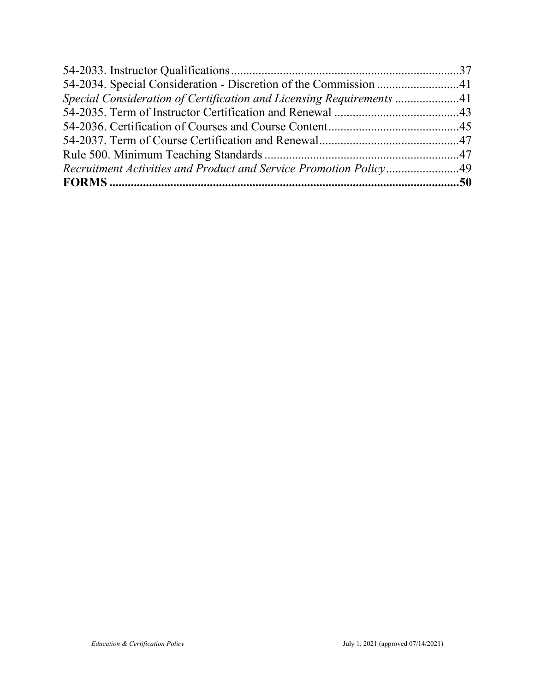| Special Consideration of Certification and Licensing Requirements 41 |  |
|----------------------------------------------------------------------|--|
|                                                                      |  |
|                                                                      |  |
|                                                                      |  |
|                                                                      |  |
| Recruitment Activities and Product and Service Promotion Policy49    |  |
|                                                                      |  |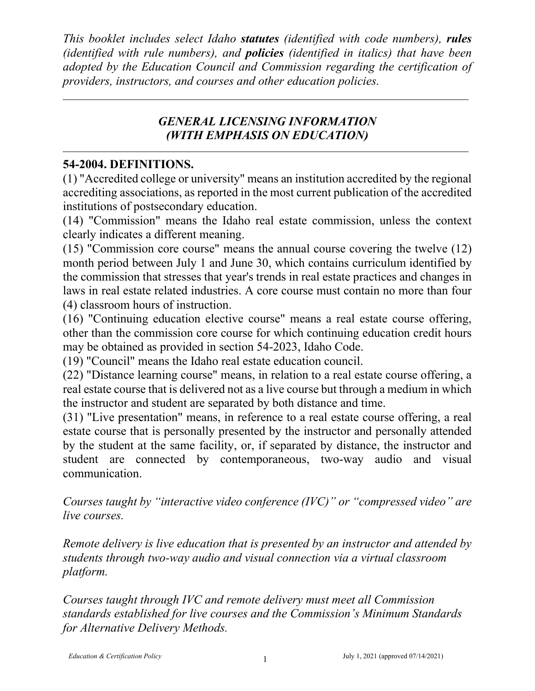*This booklet includes select Idaho statutes (identified with code numbers), rules (identified with rule numbers), and policies (identified in italics) that have been adopted by the Education Council and Commission regarding the certification of providers, instructors, and courses and other education policies.*

# *GENERAL LICENSING INFORMATION (WITH EMPHASIS ON EDUCATION)*

## **54-2004. DEFINITIONS.**

(1) "Accredited college or university" means an institution accredited by the regional accrediting associations, as reported in the most current publication of the accredited institutions of postsecondary education.

(14) "Commission" means the Idaho real estate commission, unless the context clearly indicates a different meaning.

(15) "Commission core course" means the annual course covering the twelve (12) month period between July 1 and June 30, which contains curriculum identified by the commission that stresses that year's trends in real estate practices and changes in laws in real estate related industries. A core course must contain no more than four (4) classroom hours of instruction.

(16) "Continuing education elective course" means a real estate course offering, other than the commission core course for which continuing education credit hours may be obtained as provided in section 54-2023, Idaho Code.

(19) "Council" means the Idaho real estate education council.

(22) "Distance learning course" means, in relation to a real estate course offering, a real estate course that is delivered not as a live course but through a medium in which the instructor and student are separated by both distance and time.

(31) "Live presentation" means, in reference to a real estate course offering, a real estate course that is personally presented by the instructor and personally attended by the student at the same facility, or, if separated by distance, the instructor and student are connected by contemporaneous, two-way audio and visual communication.

*Courses taught by "interactive video conference (IVC)" or "compressed video" are live courses.*

*Remote delivery is live education that is presented by an instructor and attended by students through two-way audio and visual connection via a virtual classroom platform.*

*Courses taught through IVC and remote delivery must meet all Commission standards established for live courses and the Commission's Minimum Standards for Alternative Delivery Methods.*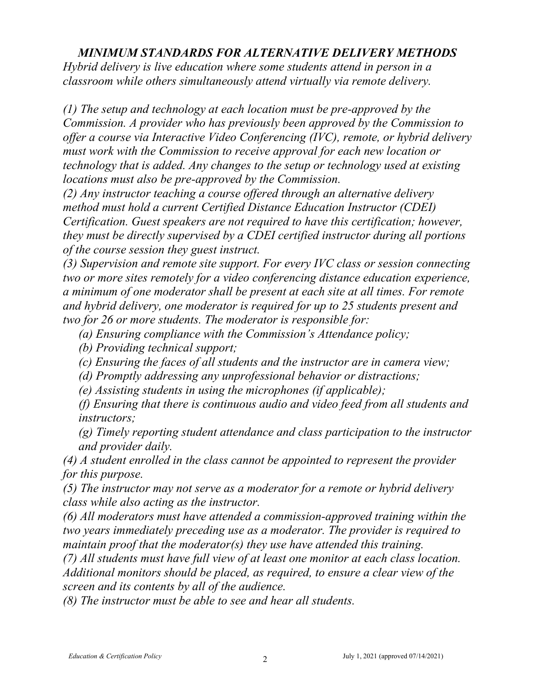#### *MINIMUM STANDARDS FOR ALTERNATIVE DELIVERY METHODS*

*Hybrid delivery is live education where some students attend in person in a classroom while others simultaneously attend virtually via remote delivery.* 

*(1) The setup and technology at each location must be pre-approved by the Commission. A provider who has previously been approved by the Commission to offer a course via Interactive Video Conferencing (IVC), remote, or hybrid delivery must work with the Commission to receive approval for each new location or technology that is added. Any changes to the setup or technology used at existing locations must also be pre-approved by the Commission.* 

*(2) Any instructor teaching a course offered through an alternative delivery method must hold a current Certified Distance Education Instructor (CDEI) Certification. Guest speakers are not required to have this certification; however, they must be directly supervised by a CDEI certified instructor during all portions of the course session they guest instruct.* 

*(3) Supervision and remote site support. For every IVC class or session connecting two or more sites remotely for a video conferencing distance education experience, a minimum of one moderator shall be present at each site at all times. For remote and hybrid delivery, one moderator is required for up to 25 students present and two for 26 or more students. The moderator is responsible for:*

*(a) Ensuring compliance with the Commission's Attendance policy;*

*(b) Providing technical support;*

*(c) Ensuring the faces of all students and the instructor are in camera view;*

*(d) Promptly addressing any unprofessional behavior or distractions;*

*(e) Assisting students in using the microphones (if applicable);*

*(f) Ensuring that there is continuous audio and video feed from all students and instructors;*

*(g) Timely reporting student attendance and class participation to the instructor and provider daily.*

*(4) A student enrolled in the class cannot be appointed to represent the provider for this purpose.*

*(5) The instructor may not serve as a moderator for a remote or hybrid delivery class while also acting as the instructor.*

*(6) All moderators must have attended a commission-approved training within the two years immediately preceding use as a moderator. The provider is required to maintain proof that the moderator(s) they use have attended this training.*

*(7) All students must have full view of at least one monitor at each class location. Additional monitors should be placed, as required, to ensure a clear view of the screen and its contents by all of the audience.*

*(8) The instructor must be able to see and hear all students.*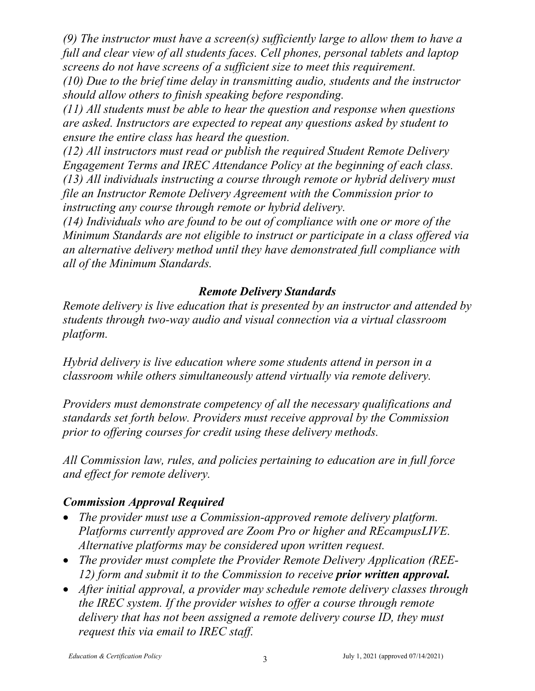*(9) The instructor must have a screen(s) sufficiently large to allow them to have a full and clear view of all students faces. Cell phones, personal tablets and laptop screens do not have screens of a sufficient size to meet this requirement.* 

*(10) Due to the brief time delay in transmitting audio, students and the instructor should allow others to finish speaking before responding.* 

*(11) All students must be able to hear the question and response when questions are asked. Instructors are expected to repeat any questions asked by student to ensure the entire class has heard the question.*

*(12) All instructors must read or publish the required Student Remote Delivery Engagement Terms and IREC Attendance Policy at the beginning of each class. (13) All individuals instructing a course through remote or hybrid delivery must file an Instructor Remote Delivery Agreement with the Commission prior to instructing any course through remote or hybrid delivery.* 

*(14) Individuals who are found to be out of compliance with one or more of the Minimum Standards are not eligible to instruct or participate in a class offered via an alternative delivery method until they have demonstrated full compliance with all of the Minimum Standards.*

# *Remote Delivery Standards*

*Remote delivery is live education that is presented by an instructor and attended by students through two-way audio and visual connection via a virtual classroom platform.* 

*Hybrid delivery is live education where some students attend in person in a classroom while others simultaneously attend virtually via remote delivery.* 

*Providers must demonstrate competency of all the necessary qualifications and standards set forth below. Providers must receive approval by the Commission prior to offering courses for credit using these delivery methods.* 

*All Commission law, rules, and policies pertaining to education are in full force and effect for remote delivery.* 

## *Commission Approval Required*

- *The provider must use a Commission-approved remote delivery platform. Platforms currently approved are Zoom Pro or higher and REcampusLIVE. Alternative platforms may be considered upon written request.*
- *The provider must complete the Provider Remote Delivery Application (REE-12) form and submit it to the Commission to receive prior written approval.*
- *After initial approval, a provider may schedule remote delivery classes through the IREC system. If the provider wishes to offer a course through remote delivery that has not been assigned a remote delivery course ID, they must request this via email to IREC staff.*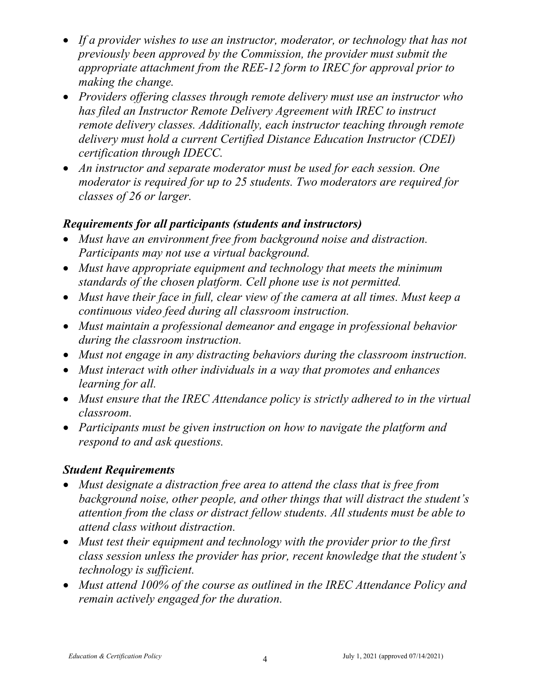- If a provider wishes to use an instructor, moderator, or technology that has not *previously been approved by the Commission, the provider must submit the appropriate attachment from the REE-12 form to IREC for approval prior to making the change.*
- *Providers offering classes through remote delivery must use an instructor who has filed an Instructor Remote Delivery Agreement with IREC to instruct remote delivery classes. Additionally, each instructor teaching through remote delivery must hold a current Certified Distance Education Instructor (CDEI) certification through IDECC.*
- *An instructor and separate moderator must be used for each session. One moderator is required for up to 25 students. Two moderators are required for classes of 26 or larger.*

#### *Requirements for all participants (students and instructors)*

- *Must have an environment free from background noise and distraction. Participants may not use a virtual background.*
- *Must have appropriate equipment and technology that meets the minimum standards of the chosen platform. Cell phone use is not permitted.*
- *Must have their face in full, clear view of the camera at all times. Must keep a continuous video feed during all classroom instruction.*
- *Must maintain a professional demeanor and engage in professional behavior during the classroom instruction.*
- *Must not engage in any distracting behaviors during the classroom instruction.*
- *Must interact with other individuals in a way that promotes and enhances learning for all.*
- *Must ensure that the IREC Attendance policy is strictly adhered to in the virtual classroom.*
- *Participants must be given instruction on how to navigate the platform and respond to and ask questions.*

## *Student Requirements*

- *Must designate a distraction free area to attend the class that is free from background noise, other people, and other things that will distract the student's attention from the class or distract fellow students. All students must be able to attend class without distraction.*
- *Must test their equipment and technology with the provider prior to the first class session unless the provider has prior, recent knowledge that the student's technology is sufficient.*
- *Must attend 100% of the course as outlined in the IREC Attendance Policy and remain actively engaged for the duration.*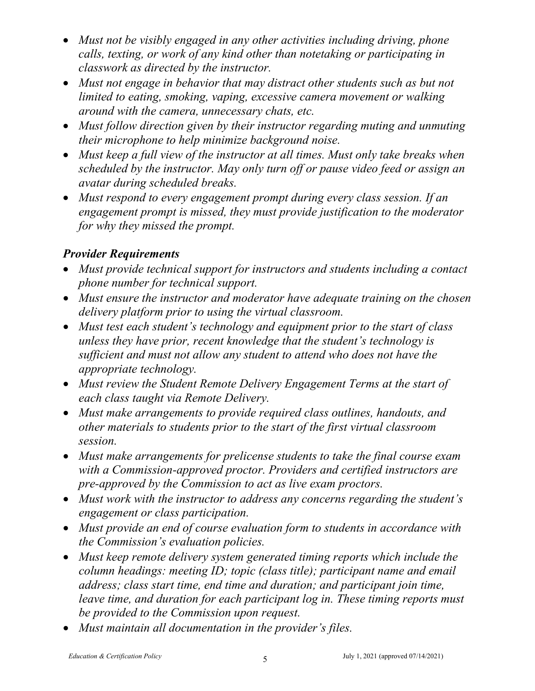- *Must not be visibly engaged in any other activities including driving, phone calls, texting, or work of any kind other than notetaking or participating in classwork as directed by the instructor.*
- Must not engage in behavior that may distract other students such as but not *limited to eating, smoking, vaping, excessive camera movement or walking around with the camera, unnecessary chats, etc.*
- *Must follow direction given by their instructor regarding muting and unmuting their microphone to help minimize background noise.*
- *Must keep a full view of the instructor at all times. Must only take breaks when scheduled by the instructor. May only turn off or pause video feed or assign an avatar during scheduled breaks.*
- *Must respond to every engagement prompt during every class session. If an engagement prompt is missed, they must provide justification to the moderator for why they missed the prompt.*

# *Provider Requirements*

- *Must provide technical support for instructors and students including a contact phone number for technical support.*
- *Must ensure the instructor and moderator have adequate training on the chosen delivery platform prior to using the virtual classroom.*
- *Must test each student's technology and equipment prior to the start of class unless they have prior, recent knowledge that the student's technology is sufficient and must not allow any student to attend who does not have the appropriate technology.*
- *Must review the Student Remote Delivery Engagement Terms at the start of each class taught via Remote Delivery.*
- *Must make arrangements to provide required class outlines, handouts, and other materials to students prior to the start of the first virtual classroom session.*
- *Must make arrangements for prelicense students to take the final course exam with a Commission-approved proctor. Providers and certified instructors are pre-approved by the Commission to act as live exam proctors.*
- *Must work with the instructor to address any concerns regarding the student's engagement or class participation.*
- *Must provide an end of course evaluation form to students in accordance with the Commission's evaluation policies.*
- *Must keep remote delivery system generated timing reports which include the column headings: meeting ID; topic (class title); participant name and email address; class start time, end time and duration; and participant join time, leave time, and duration for each participant log in. These timing reports must be provided to the Commission upon request.*
- *Must maintain all documentation in the provider's files.*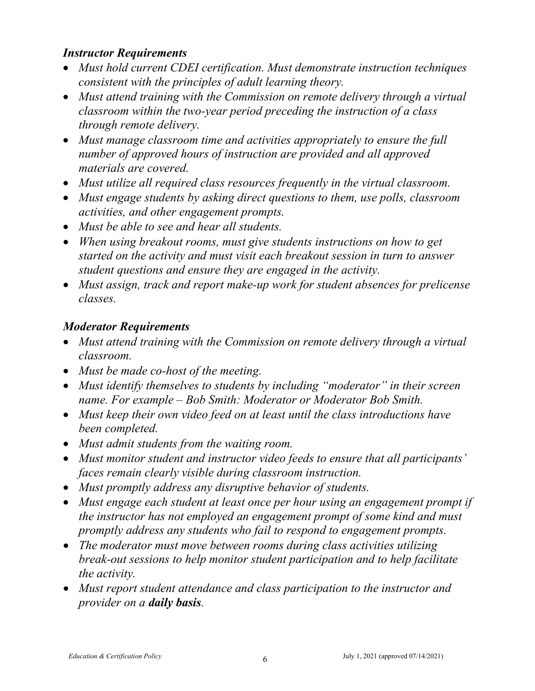## *Instructor Requirements*

- *Must hold current CDEI certification. Must demonstrate instruction techniques consistent with the principles of adult learning theory.*
- *Must attend training with the Commission on remote delivery through a virtual classroom within the two-year period preceding the instruction of a class through remote delivery.*
- *Must manage classroom time and activities appropriately to ensure the full number of approved hours of instruction are provided and all approved materials are covered.*
- *Must utilize all required class resources frequently in the virtual classroom.*
- *Must engage students by asking direct questions to them, use polls, classroom activities, and other engagement prompts.*
- *Must be able to see and hear all students.*
- *When using breakout rooms, must give students instructions on how to get started on the activity and must visit each breakout session in turn to answer student questions and ensure they are engaged in the activity.*
- *Must assign, track and report make-up work for student absences for prelicense classes.*

# *Moderator Requirements*

- *Must attend training with the Commission on remote delivery through a virtual classroom.*
- *Must be made co-host of the meeting.*
- *Must identify themselves to students by including "moderator" in their screen name. For example – Bob Smith: Moderator or Moderator Bob Smith.*
- *Must keep their own video feed on at least until the class introductions have been completed.*
- *Must admit students from the waiting room.*
- *Must monitor student and instructor video feeds to ensure that all participants' faces remain clearly visible during classroom instruction.*
- *Must promptly address any disruptive behavior of students.*
- *Must engage each student at least once per hour using an engagement prompt if the instructor has not employed an engagement prompt of some kind and must promptly address any students who fail to respond to engagement prompts.*
- *The moderator must move between rooms during class activities utilizing break-out sessions to help monitor student participation and to help facilitate the activity.*
- *Must report student attendance and class participation to the instructor and provider on a daily basis.*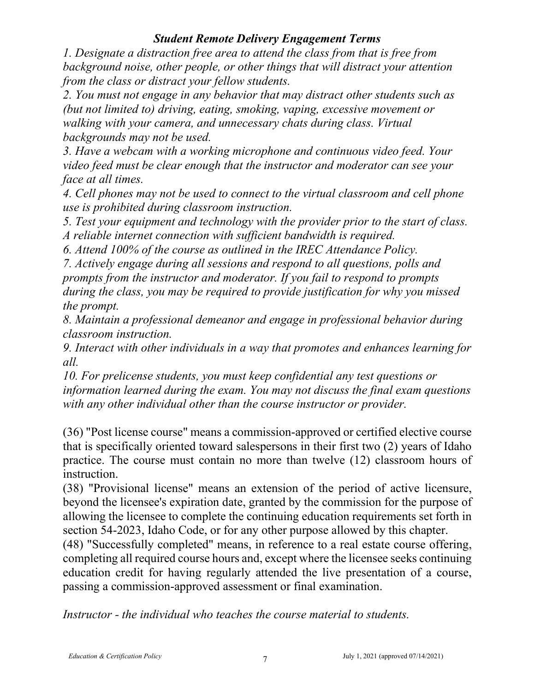#### *Student Remote Delivery Engagement Terms*

*1. Designate a distraction free area to attend the class from that is free from background noise, other people, or other things that will distract your attention from the class or distract your fellow students.* 

*2. You must not engage in any behavior that may distract other students such as (but not limited to) driving, eating, smoking, vaping, excessive movement or walking with your camera, and unnecessary chats during class. Virtual backgrounds may not be used.* 

*3. Have a webcam with a working microphone and continuous video feed. Your video feed must be clear enough that the instructor and moderator can see your face at all times.* 

*4. Cell phones may not be used to connect to the virtual classroom and cell phone use is prohibited during classroom instruction.* 

*5. Test your equipment and technology with the provider prior to the start of class. A reliable internet connection with sufficient bandwidth is required.* 

*6. Attend 100% of the course as outlined in the IREC Attendance Policy.* 

*7. Actively engage during all sessions and respond to all questions, polls and prompts from the instructor and moderator. If you fail to respond to prompts during the class, you may be required to provide justification for why you missed the prompt.* 

*8. Maintain a professional demeanor and engage in professional behavior during classroom instruction.* 

*9. Interact with other individuals in a way that promotes and enhances learning for all.*

*10. For prelicense students, you must keep confidential any test questions or information learned during the exam. You may not discuss the final exam questions with any other individual other than the course instructor or provider.* 

(36) "Post license course" means a commission-approved or certified elective course that is specifically oriented toward salespersons in their first two (2) years of Idaho practice. The course must contain no more than twelve (12) classroom hours of instruction.

(38) "Provisional license" means an extension of the period of active licensure, beyond the licensee's expiration date, granted by the commission for the purpose of allowing the licensee to complete the continuing education requirements set forth in section 54-2023, Idaho Code, or for any other purpose allowed by this chapter.

(48) "Successfully completed" means, in reference to a real estate course offering, completing all required course hours and, except where the licensee seeks continuing education credit for having regularly attended the live presentation of a course, passing a commission-approved assessment or final examination.

*Instructor - the individual who teaches the course material to students.*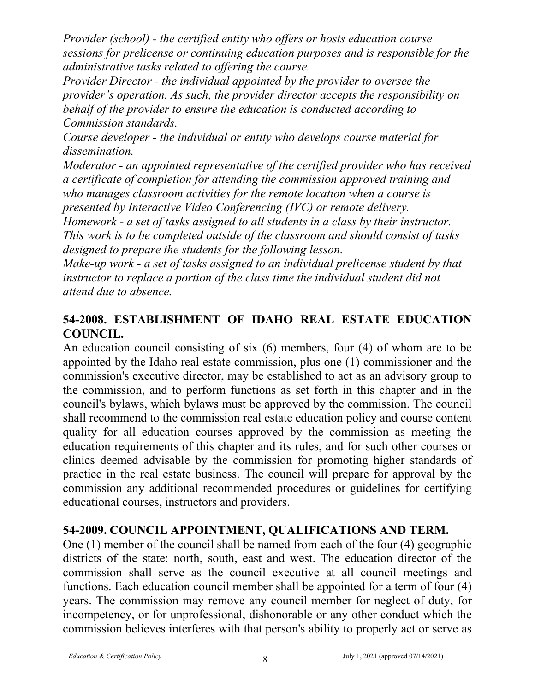*Provider (school) - the certified entity who offers or hosts education course sessions for prelicense or continuing education purposes and is responsible for the administrative tasks related to offering the course.* 

*Provider Director - the individual appointed by the provider to oversee the provider's operation. As such, the provider director accepts the responsibility on behalf of the provider to ensure the education is conducted according to Commission standards.* 

*Course developer - the individual or entity who develops course material for dissemination.* 

*Moderator - an appointed representative of the certified provider who has received a certificate of completion for attending the commission approved training and who manages classroom activities for the remote location when a course is presented by Interactive Video Conferencing (IVC) or remote delivery.*

*Homework - a set of tasks assigned to all students in a class by their instructor. This work is to be completed outside of the classroom and should consist of tasks designed to prepare the students for the following lesson.*

*Make-up work - a set of tasks assigned to an individual prelicense student by that instructor to replace a portion of the class time the individual student did not attend due to absence.* 

## **54-2008. ESTABLISHMENT OF IDAHO REAL ESTATE EDUCATION COUNCIL.**

An education council consisting of six (6) members, four (4) of whom are to be appointed by the Idaho real estate commission, plus one (1) commissioner and the commission's executive director, may be established to act as an advisory group to the commission, and to perform functions as set forth in this chapter and in the council's bylaws, which bylaws must be approved by the commission. The council shall recommend to the commission real estate education policy and course content quality for all education courses approved by the commission as meeting the education requirements of this chapter and its rules, and for such other courses or clinics deemed advisable by the commission for promoting higher standards of practice in the real estate business. The council will prepare for approval by the commission any additional recommended procedures or guidelines for certifying educational courses, instructors and providers.

# **54-2009. COUNCIL APPOINTMENT, QUALIFICATIONS AND TERM.**

One (1) member of the council shall be named from each of the four (4) geographic districts of the state: north, south, east and west. The education director of the commission shall serve as the council executive at all council meetings and functions. Each education council member shall be appointed for a term of four (4) years. The commission may remove any council member for neglect of duty, for incompetency, or for unprofessional, dishonorable or any other conduct which the commission believes interferes with that person's ability to properly act or serve as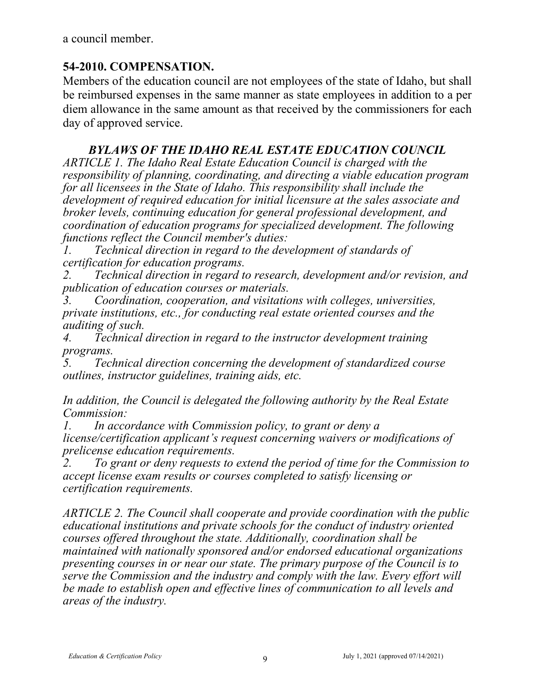a council member.

## **54-2010. COMPENSATION.**

Members of the education council are not employees of the state of Idaho, but shall be reimbursed expenses in the same manner as state employees in addition to a per diem allowance in the same amount as that received by the commissioners for each day of approved service.

## *BYLAWS OF THE IDAHO REAL ESTATE EDUCATION COUNCIL*

*ARTICLE 1. The Idaho Real Estate Education Council is charged with the responsibility of planning, coordinating, and directing a viable education program for all licensees in the State of Idaho. This responsibility shall include the development of required education for initial licensure at the sales associate and broker levels, continuing education for general professional development, and coordination of education programs for specialized development. The following functions reflect the Council member's duties:*

*1. Technical direction in regard to the development of standards of certification for education programs.*

*2. Technical direction in regard to research, development and/or revision, and publication of education courses or materials.*

*3. Coordination, cooperation, and visitations with colleges, universities, private institutions, etc., for conducting real estate oriented courses and the auditing of such.*

*4. Technical direction in regard to the instructor development training programs.*

*5. Technical direction concerning the development of standardized course outlines, instructor guidelines, training aids, etc.*

*In addition, the Council is delegated the following authority by the Real Estate Commission:*

*1. In accordance with Commission policy, to grant or deny a license/certification applicant's request concerning waivers or modifications of prelicense education requirements.*

*2. To grant or deny requests to extend the period of time for the Commission to accept license exam results or courses completed to satisfy licensing or certification requirements.*

*ARTICLE 2. The Council shall cooperate and provide coordination with the public educational institutions and private schools for the conduct of industry oriented courses offered throughout the state. Additionally, coordination shall be maintained with nationally sponsored and/or endorsed educational organizations presenting courses in or near our state. The primary purpose of the Council is to serve the Commission and the industry and comply with the law. Every effort will be made to establish open and effective lines of communication to all levels and areas of the industry.*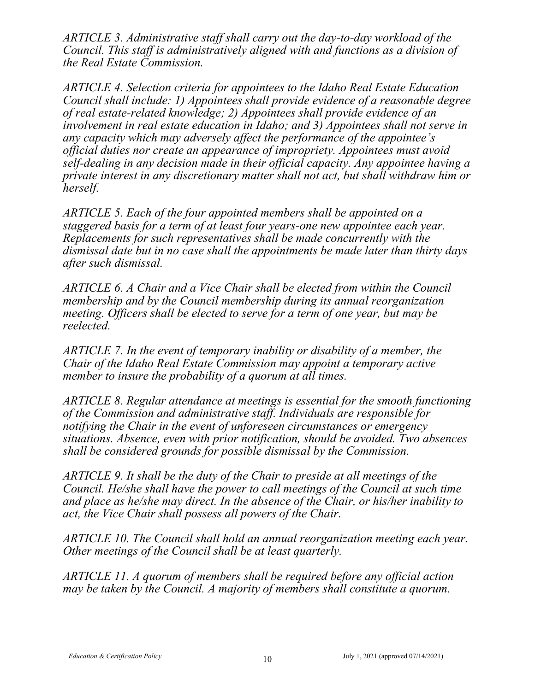*ARTICLE 3. Administrative staff shall carry out the day-to-day workload of the Council. This staff is administratively aligned with and functions as a division of the Real Estate Commission.*

*ARTICLE 4. Selection criteria for appointees to the Idaho Real Estate Education Council shall include: 1) Appointees shall provide evidence of a reasonable degree of real estate-related knowledge; 2) Appointees shall provide evidence of an involvement in real estate education in Idaho; and 3) Appointees shall not serve in any capacity which may adversely affect the performance of the appointee's official duties nor create an appearance of impropriety. Appointees must avoid self-dealing in any decision made in their official capacity. Any appointee having a private interest in any discretionary matter shall not act, but shall withdraw him or herself.*

*ARTICLE 5. Each of the four appointed members shall be appointed on a staggered basis for a term of at least four years-one new appointee each year. Replacements for such representatives shall be made concurrently with the dismissal date but in no case shall the appointments be made later than thirty days after such dismissal.*

*ARTICLE 6. A Chair and a Vice Chair shall be elected from within the Council membership and by the Council membership during its annual reorganization meeting. Officers shall be elected to serve for a term of one year, but may be reelected.*

*ARTICLE 7. In the event of temporary inability or disability of a member, the Chair of the Idaho Real Estate Commission may appoint a temporary active member to insure the probability of a quorum at all times.*

*ARTICLE 8. Regular attendance at meetings is essential for the smooth functioning of the Commission and administrative staff. Individuals are responsible for notifying the Chair in the event of unforeseen circumstances or emergency situations. Absence, even with prior notification, should be avoided. Two absences shall be considered grounds for possible dismissal by the Commission.*

*ARTICLE 9. It shall be the duty of the Chair to preside at all meetings of the Council. He/she shall have the power to call meetings of the Council at such time and place as he/she may direct. In the absence of the Chair, or his/her inability to act, the Vice Chair shall possess all powers of the Chair.*

*ARTICLE 10. The Council shall hold an annual reorganization meeting each year. Other meetings of the Council shall be at least quarterly.*

*ARTICLE 11. A quorum of members shall be required before any official action may be taken by the Council. A majority of members shall constitute a quorum.*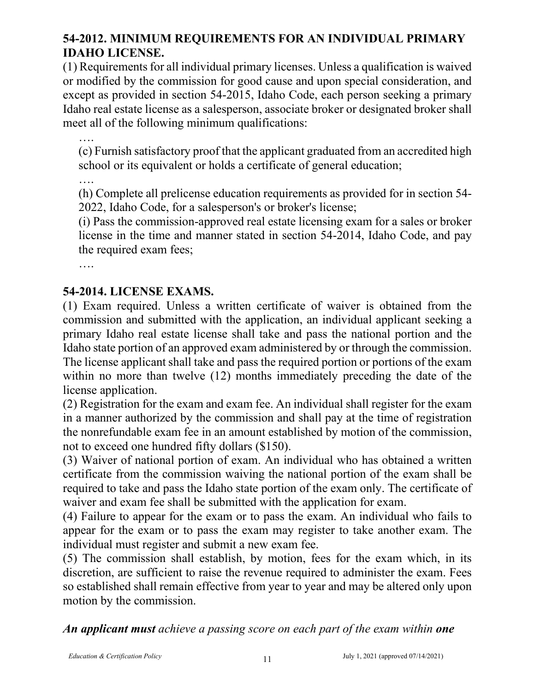# **54-2012. MINIMUM REQUIREMENTS FOR AN INDIVIDUAL PRIMARY IDAHO LICENSE.**

(1) Requirements for all individual primary licenses. Unless a qualification is waived or modified by the commission for good cause and upon special consideration, and except as provided in section 54-2015, Idaho Code, each person seeking a primary Idaho real estate license as a salesperson, associate broker or designated broker shall meet all of the following minimum qualifications:

…. (c) Furnish satisfactory proof that the applicant graduated from an accredited high school or its equivalent or holds a certificate of general education;

….

(h) Complete all prelicense education requirements as provided for in section 54- 2022, Idaho Code, for a salesperson's or broker's license;

(i) Pass the commission-approved real estate licensing exam for a sales or broker license in the time and manner stated in section 54-2014, Idaho Code, and pay the required exam fees;

….

## **54-2014. LICENSE EXAMS.**

(1) Exam required. Unless a written certificate of waiver is obtained from the commission and submitted with the application, an individual applicant seeking a primary Idaho real estate license shall take and pass the national portion and the Idaho state portion of an approved exam administered by or through the commission. The license applicant shall take and pass the required portion or portions of the exam within no more than twelve (12) months immediately preceding the date of the license application.

(2) Registration for the exam and exam fee. An individual shall register for the exam in a manner authorized by the commission and shall pay at the time of registration the nonrefundable exam fee in an amount established by motion of the commission, not to exceed one hundred fifty dollars (\$150).

(3) Waiver of national portion of exam. An individual who has obtained a written certificate from the commission waiving the national portion of the exam shall be required to take and pass the Idaho state portion of the exam only. The certificate of waiver and exam fee shall be submitted with the application for exam.

(4) Failure to appear for the exam or to pass the exam. An individual who fails to appear for the exam or to pass the exam may register to take another exam. The individual must register and submit a new exam fee.

(5) The commission shall establish, by motion, fees for the exam which, in its discretion, are sufficient to raise the revenue required to administer the exam. Fees so established shall remain effective from year to year and may be altered only upon motion by the commission.

*An applicant must achieve a passing score on each part of the exam within one*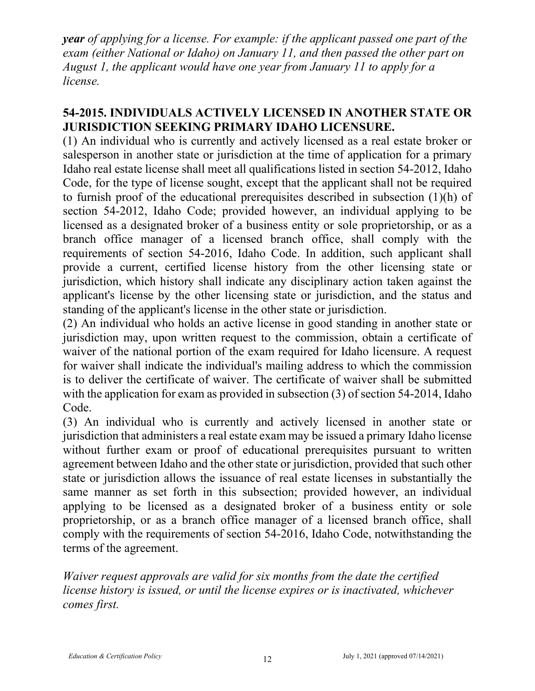*year of applying for a license. For example: if the applicant passed one part of the exam (either National or Idaho) on January 11, and then passed the other part on August 1, the applicant would have one year from January 11 to apply for a license.*

## **54-2015. INDIVIDUALS ACTIVELY LICENSED IN ANOTHER STATE OR JURISDICTION SEEKING PRIMARY IDAHO LICENSURE.**

(1) An individual who is currently and actively licensed as a real estate broker or salesperson in another state or jurisdiction at the time of application for a primary Idaho real estate license shall meet all qualifications listed in section 54-2012, Idaho Code, for the type of license sought, except that the applicant shall not be required to furnish proof of the educational prerequisites described in subsection (1)(h) of section 54-2012, Idaho Code; provided however, an individual applying to be licensed as a designated broker of a business entity or sole proprietorship, or as a branch office manager of a licensed branch office, shall comply with the requirements of section 54-2016, Idaho Code. In addition, such applicant shall provide a current, certified license history from the other licensing state or jurisdiction, which history shall indicate any disciplinary action taken against the applicant's license by the other licensing state or jurisdiction, and the status and standing of the applicant's license in the other state or jurisdiction.

(2) An individual who holds an active license in good standing in another state or jurisdiction may, upon written request to the commission, obtain a certificate of waiver of the national portion of the exam required for Idaho licensure. A request for waiver shall indicate the individual's mailing address to which the commission is to deliver the certificate of waiver. The certificate of waiver shall be submitted with the application for exam as provided in subsection (3) of section 54-2014, Idaho Code.

(3) An individual who is currently and actively licensed in another state or jurisdiction that administers a real estate exam may be issued a primary Idaho license without further exam or proof of educational prerequisites pursuant to written agreement between Idaho and the other state or jurisdiction, provided that such other state or jurisdiction allows the issuance of real estate licenses in substantially the same manner as set forth in this subsection; provided however, an individual applying to be licensed as a designated broker of a business entity or sole proprietorship, or as a branch office manager of a licensed branch office, shall comply with the requirements of section 54-2016, Idaho Code, notwithstanding the terms of the agreement.

*Waiver request approvals are valid for six months from the date the certified license history is issued, or until the license expires or is inactivated, whichever comes first.*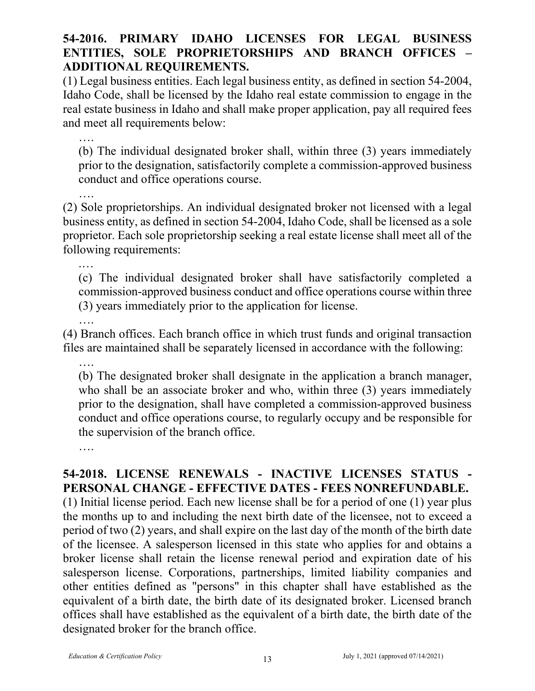## **54-2016. PRIMARY IDAHO LICENSES FOR LEGAL BUSINESS ENTITIES, SOLE PROPRIETORSHIPS AND BRANCH OFFICES – ADDITIONAL REQUIREMENTS.**

(1) Legal business entities. Each legal business entity, as defined in section 54-2004, Idaho Code, shall be licensed by the Idaho real estate commission to engage in the real estate business in Idaho and shall make proper application, pay all required fees and meet all requirements below:

…. (b) The individual designated broker shall, within three (3) years immediately prior to the designation, satisfactorily complete a commission-approved business conduct and office operations course.

(2) Sole proprietorships. An individual designated broker not licensed with a legal business entity, as defined in section 54-2004, Idaho Code, shall be licensed as a sole proprietor. Each sole proprietorship seeking a real estate license shall meet all of the following requirements:

.… (c) The individual designated broker shall have satisfactorily completed a commission-approved business conduct and office operations course within three (3) years immediately prior to the application for license.

(4) Branch offices. Each branch office in which trust funds and original transaction files are maintained shall be separately licensed in accordance with the following:

….

….

(b) The designated broker shall designate in the application a branch manager, who shall be an associate broker and who, within three (3) years immediately prior to the designation, shall have completed a commission-approved business conduct and office operations course, to regularly occupy and be responsible for the supervision of the branch office.

….

# **54-2018. LICENSE RENEWALS - INACTIVE LICENSES STATUS - PERSONAL CHANGE - EFFECTIVE DATES - FEES NONREFUNDABLE.**

(1) Initial license period. Each new license shall be for a period of one (1) year plus the months up to and including the next birth date of the licensee, not to exceed a period of two (2) years, and shall expire on the last day of the month of the birth date of the licensee. A salesperson licensed in this state who applies for and obtains a broker license shall retain the license renewal period and expiration date of his salesperson license. Corporations, partnerships, limited liability companies and other entities defined as "persons" in this chapter shall have established as the equivalent of a birth date, the birth date of its designated broker. Licensed branch offices shall have established as the equivalent of a birth date, the birth date of the designated broker for the branch office.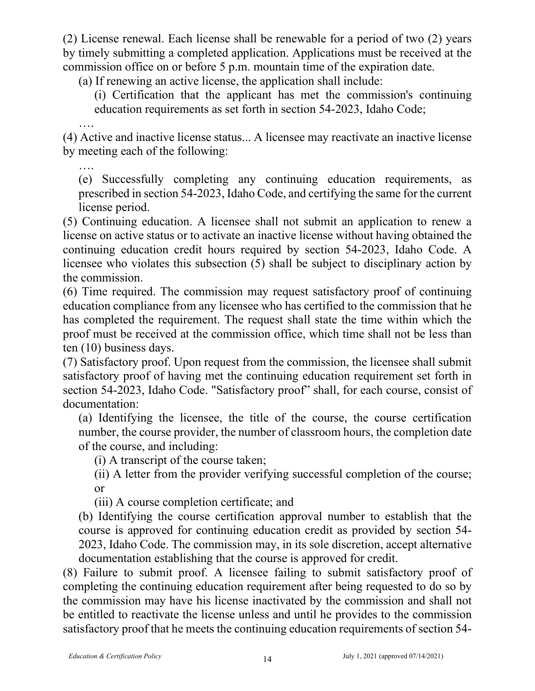(2) License renewal. Each license shall be renewable for a period of two (2) years by timely submitting a completed application. Applications must be received at the commission office on or before 5 p.m. mountain time of the expiration date.

(a) If renewing an active license, the application shall include:

(i) Certification that the applicant has met the commission's continuing education requirements as set forth in section 54-2023, Idaho Code;

…. (4) Active and inactive license status... A licensee may reactivate an inactive license by meeting each of the following:

(e) Successfully completing any continuing education requirements, as prescribed in section 54-2023, Idaho Code, and certifying the same for the current license period.

(5) Continuing education. A licensee shall not submit an application to renew a license on active status or to activate an inactive license without having obtained the continuing education credit hours required by section 54-2023, Idaho Code. A licensee who violates this subsection (5) shall be subject to disciplinary action by the commission.

(6) Time required. The commission may request satisfactory proof of continuing education compliance from any licensee who has certified to the commission that he has completed the requirement. The request shall state the time within which the proof must be received at the commission office, which time shall not be less than ten (10) business days.

(7) Satisfactory proof. Upon request from the commission, the licensee shall submit satisfactory proof of having met the continuing education requirement set forth in section 54-2023, Idaho Code. "Satisfactory proof" shall, for each course, consist of documentation:

(a) Identifying the licensee, the title of the course, the course certification number, the course provider, the number of classroom hours, the completion date of the course, and including:

(i) A transcript of the course taken;

(ii) A letter from the provider verifying successful completion of the course; or

(iii) A course completion certificate; and

(b) Identifying the course certification approval number to establish that the course is approved for continuing education credit as provided by section 54- 2023, Idaho Code. The commission may, in its sole discretion, accept alternative documentation establishing that the course is approved for credit.

(8) Failure to submit proof. A licensee failing to submit satisfactory proof of completing the continuing education requirement after being requested to do so by the commission may have his license inactivated by the commission and shall not be entitled to reactivate the license unless and until he provides to the commission satisfactory proof that he meets the continuing education requirements of section 54-

….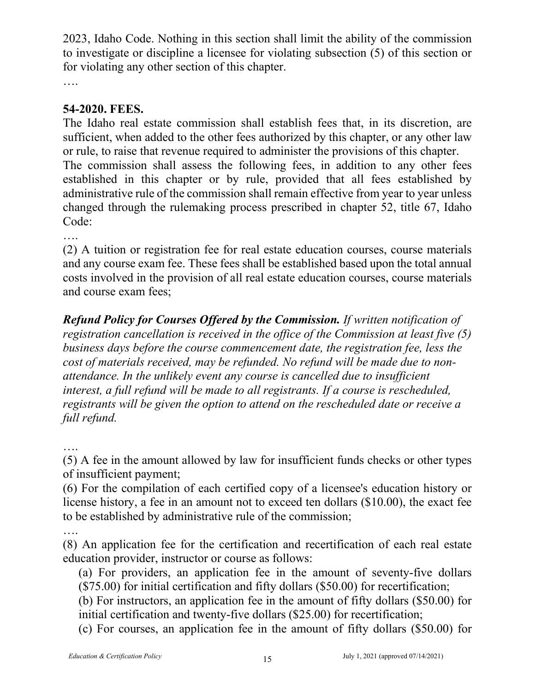2023, Idaho Code. Nothing in this section shall limit the ability of the commission to investigate or discipline a licensee for violating subsection (5) of this section or for violating any other section of this chapter.

….

# **54-2020. FEES.**

The Idaho real estate commission shall establish fees that, in its discretion, are sufficient, when added to the other fees authorized by this chapter, or any other law or rule, to raise that revenue required to administer the provisions of this chapter.

The commission shall assess the following fees, in addition to any other fees established in this chapter or by rule, provided that all fees established by administrative rule of the commission shall remain effective from year to year unless changed through the rulemaking process prescribed in chapter 52, title 67, Idaho Code:

….

(2) A tuition or registration fee for real estate education courses, course materials and any course exam fee. These fees shall be established based upon the total annual costs involved in the provision of all real estate education courses, course materials and course exam fees;

*Refund Policy for Courses Offered by the Commission. If written notification of registration cancellation is received in the office of the Commission at least five (5) business days before the course commencement date, the registration fee, less the cost of materials received, may be refunded. No refund will be made due to nonattendance. In the unlikely event any course is cancelled due to insufficient interest, a full refund will be made to all registrants. If a course is rescheduled, registrants will be given the option to attend on the rescheduled date or receive a full refund.*

….

(5) A fee in the amount allowed by law for insufficient funds checks or other types of insufficient payment;

(6) For the compilation of each certified copy of a licensee's education history or license history, a fee in an amount not to exceed ten dollars (\$10.00), the exact fee to be established by administrative rule of the commission;

….

(8) An application fee for the certification and recertification of each real estate education provider, instructor or course as follows:

(a) For providers, an application fee in the amount of seventy-five dollars (\$75.00) for initial certification and fifty dollars (\$50.00) for recertification;

(b) For instructors, an application fee in the amount of fifty dollars (\$50.00) for initial certification and twenty-five dollars (\$25.00) for recertification;

(c) For courses, an application fee in the amount of fifty dollars (\$50.00) for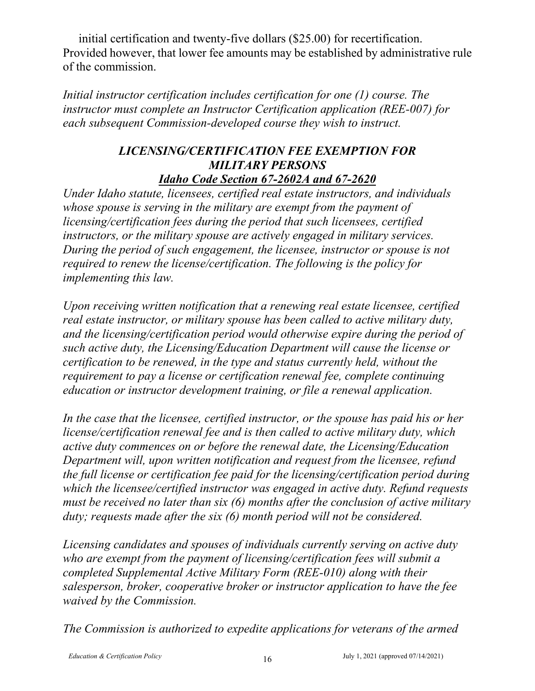initial certification and twenty-five dollars (\$25.00) for recertification. Provided however, that lower fee amounts may be established by administrative rule of the commission.

*Initial instructor certification includes certification for one (1) course. The instructor must complete an Instructor Certification application (REE-007) for each subsequent Commission-developed course they wish to instruct.*

#### *LICENSING/CERTIFICATION FEE EXEMPTION FOR MILITARY PERSONS [Idaho Code Section 67-2602A](http://legislature.idaho.gov/idstat/Title67/T67CH26SECT67-2602A.htm) and 67-2620*

*Under Idaho statute, licensees, certified real estate instructors, and individuals whose spouse is serving in the military are exempt from the payment of licensing/certification fees during the period that such licensees, certified instructors, or the military spouse are actively engaged in military services. During the period of such engagement, the licensee, instructor or spouse is not required to renew the license/certification. The following is the policy for implementing this law.*

*Upon receiving written notification that a renewing real estate licensee, certified real estate instructor, or military spouse has been called to active military duty, and the licensing/certification period would otherwise expire during the period of such active duty, the Licensing/Education Department will cause the license or certification to be renewed, in the type and status currently held, without the requirement to pay a license or certification renewal fee, complete continuing education or instructor development training, or file a renewal application.*

*In the case that the licensee, certified instructor, or the spouse has paid his or her license/certification renewal fee and is then called to active military duty, which active duty commences on or before the renewal date, the Licensing/Education Department will, upon written notification and request from the licensee, refund the full license or certification fee paid for the licensing/certification period during which the licensee/certified instructor was engaged in active duty. Refund requests must be received no later than six (6) months after the conclusion of active military duty; requests made after the six (6) month period will not be considered.*

*Licensing candidates and spouses of individuals currently serving on active duty who are exempt from the payment of licensing/certification fees will submit a completed Supplemental Active Military Form (REE-010) along with their salesperson, broker, cooperative broker or instructor application to have the fee waived by the Commission.* 

*The Commission is authorized to expedite applications for veterans of the armed*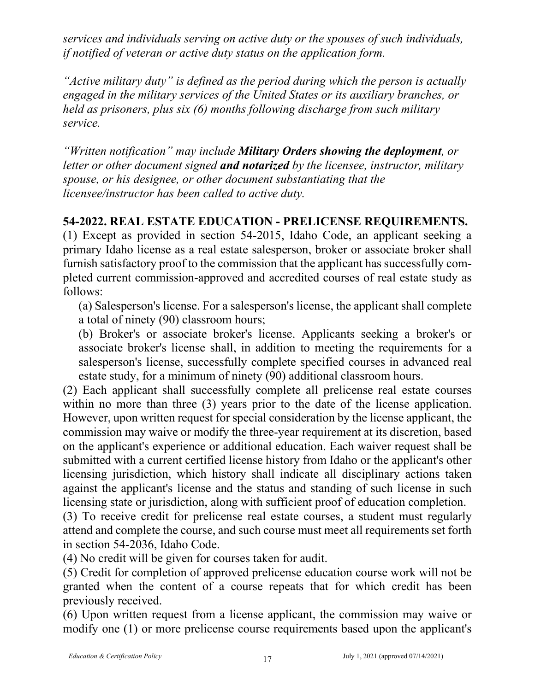*services and individuals serving on active duty or the spouses of such individuals, if notified of veteran or active duty status on the application form.*

*"Active military duty" is defined as the period during which the person is actually engaged in the military services of the United States or its auxiliary branches, or held as prisoners, plus six (6) months following discharge from such military service.*

*"Written notification" may include Military Orders showing the deployment, or letter or other document signed and notarized by the licensee, instructor, military spouse, or his designee, or other document substantiating that the licensee/instructor has been called to active duty.*

## **54-2022. REAL ESTATE EDUCATION - PRELICENSE REQUIREMENTS.**

(1) Except as provided in section 54-2015, Idaho Code, an applicant seeking a primary Idaho license as a real estate salesperson, broker or associate broker shall furnish satisfactory proof to the commission that the applicant has successfully completed current commission-approved and accredited courses of real estate study as follows:

(a) Salesperson's license. For a salesperson's license, the applicant shall complete a total of ninety (90) classroom hours;

(b) Broker's or associate broker's license. Applicants seeking a broker's or associate broker's license shall, in addition to meeting the requirements for a salesperson's license, successfully complete specified courses in advanced real estate study, for a minimum of ninety (90) additional classroom hours.

(2) Each applicant shall successfully complete all prelicense real estate courses within no more than three (3) years prior to the date of the license application. However, upon written request for special consideration by the license applicant, the commission may waive or modify the three-year requirement at its discretion, based on the applicant's experience or additional education. Each waiver request shall be submitted with a current certified license history from Idaho or the applicant's other licensing jurisdiction, which history shall indicate all disciplinary actions taken against the applicant's license and the status and standing of such license in such licensing state or jurisdiction, along with sufficient proof of education completion.

(3) To receive credit for prelicense real estate courses, a student must regularly attend and complete the course, and such course must meet all requirements set forth in section 54-2036, Idaho Code.

(4) No credit will be given for courses taken for audit.

(5) Credit for completion of approved prelicense education course work will not be granted when the content of a course repeats that for which credit has been previously received.

(6) Upon written request from a license applicant, the commission may waive or modify one (1) or more prelicense course requirements based upon the applicant's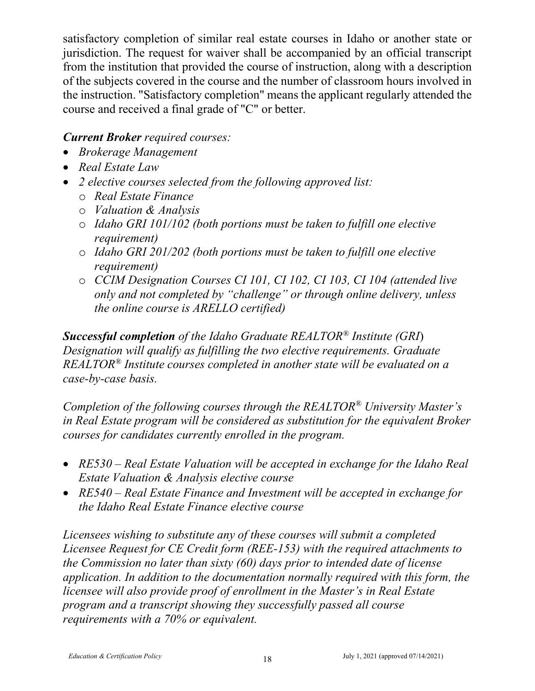satisfactory completion of similar real estate courses in Idaho or another state or jurisdiction. The request for waiver shall be accompanied by an official transcript from the institution that provided the course of instruction, along with a description of the subjects covered in the course and the number of classroom hours involved in the instruction. "Satisfactory completion" means the applicant regularly attended the course and received a final grade of "C" or better.

## *Current Broker required courses:*

- *Brokerage Management*
- *Real Estate Law*
- *2 elective courses selected from the following approved list:*
	- o *Real Estate Finance*
	- o *Valuation & Analysis*
	- o *Idaho GRI 101/102 (both portions must be taken to fulfill one elective requirement)*
	- o *Idaho GRI 201/202 (both portions must be taken to fulfill one elective requirement)*
	- o *CCIM Designation Courses CI 101, CI 102, CI 103, CI 104 (attended live only and not completed by "challenge" or through online delivery, unless the online course is ARELLO certified)*

*Successful completion of the Idaho Graduate REALTOR® Institute (GRI*) *Designation will qualify as fulfilling the two elective requirements. Graduate REALTOR® Institute courses completed in another state will be evaluated on a case-by-case basis.*

*Completion of the following courses through the REALTOR® University Master's in Real Estate program will be considered as substitution for the equivalent Broker courses for candidates currently enrolled in the program.* 

- *RE530 – Real Estate Valuation will be accepted in exchange for the Idaho Real Estate Valuation & Analysis elective course*
- *RE540 – Real Estate Finance and Investment will be accepted in exchange for the Idaho Real Estate Finance elective course*

*Licensees wishing to substitute any of these courses will submit a completed Licensee Request for CE Credit form (REE-153) with the required attachments to the Commission no later than sixty (60) days prior to intended date of license application. In addition to the documentation normally required with this form, the licensee will also provide proof of enrollment in the Master's in Real Estate program and a transcript showing they successfully passed all course requirements with a 70% or equivalent.*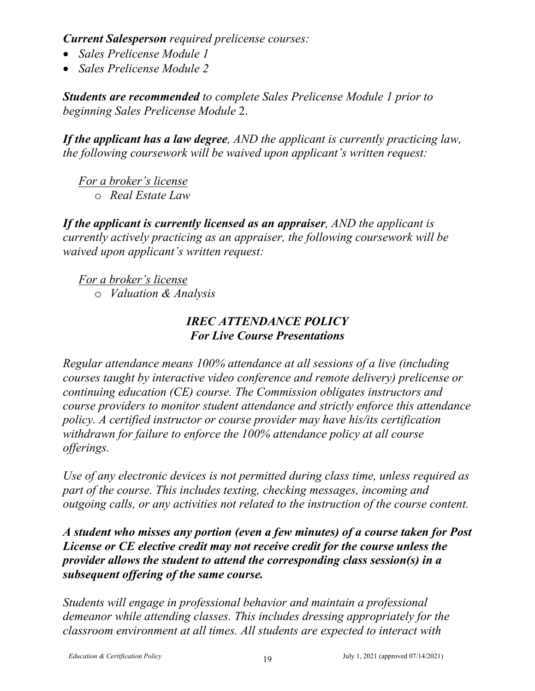*Current Salesperson required prelicense courses:*

- *Sales Prelicense Module 1*
- *Sales Prelicense Module 2*

*Students are recommended to complete Sales Prelicense Module 1 prior to beginning Sales Prelicense Module* 2.

*If the applicant has a law degree, AND the applicant is currently practicing law, the following coursework will be waived upon applicant's written request:*

*For a broker's license* o *Real Estate Law*

*If the applicant is currently licensed as an appraiser, AND the applicant is currently actively practicing as an appraiser, the following coursework will be waived upon applicant's written request:*

*For a broker's license*

o *Valuation & Analysis*

# *IREC ATTENDANCE POLICY For Live Course Presentations*

*Regular attendance means 100% attendance at all sessions of a live (including courses taught by interactive video conference and remote delivery) prelicense or continuing education (CE) course. The Commission obligates instructors and course providers to monitor student attendance and strictly enforce this attendance policy. A certified instructor or course provider may have his/its certification withdrawn for failure to enforce the 100% attendance policy at all course offerings.*

*Use of any electronic devices is not permitted during class time, unless required as part of the course. This includes texting, checking messages, incoming and outgoing calls, or any activities not related to the instruction of the course content.*

*A student who misses any portion (even a few minutes) of a course taken for Post License or CE elective credit may not receive credit for the course unless the provider allows the student to attend the corresponding class session(s) in a subsequent offering of the same course.*

*Students will engage in professional behavior and maintain a professional demeanor while attending classes. This includes dressing appropriately for the classroom environment at all times. All students are expected to interact with*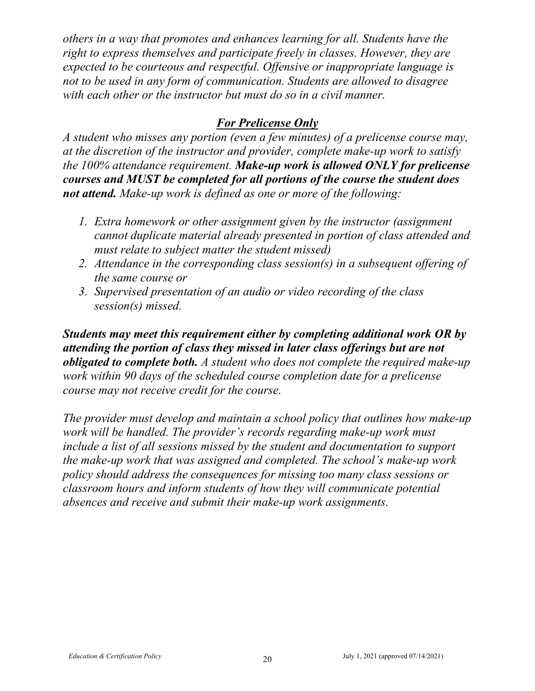*others in a way that promotes and enhances learning for all. Students have the right to express themselves and participate freely in classes. However, they are expected to be courteous and respectful. Offensive or inappropriate language is not to be used in any form of communication. Students are allowed to disagree with each other or the instructor but must do so in a civil manner.* 

# *For Prelicense Only*

*A student who misses any portion (even a few minutes) of a prelicense course may, at the discretion of the instructor and provider, complete make-up work to satisfy the 100% attendance requirement. Make-up work is allowed ONLY for prelicense courses and MUST be completed for all portions of the course the student does not attend. Make-up work is defined as one or more of the following:*

- *1. Extra homework or other assignment given by the instructor (assignment cannot duplicate material already presented in portion of class attended and must relate to subject matter the student missed)*
- *2. Attendance in the corresponding class session(s) in a subsequent offering of the same course or*
- *3. Supervised presentation of an audio or video recording of the class session(s) missed.*

*Students may meet this requirement either by completing additional work OR by attending the portion of class they missed in later class offerings but are not obligated to complete both. A student who does not complete the required make-up work within 90 days of the scheduled course completion date for a prelicense course may not receive credit for the course.* 

*The provider must develop and maintain a school policy that outlines how make-up work will be handled. The provider's records regarding make-up work must include a list of all sessions missed by the student and documentation to support the make-up work that was assigned and completed. The school's make-up work policy should address the consequences for missing too many class sessions or classroom hours and inform students of how they will communicate potential absences and receive and submit their make-up work assignments.*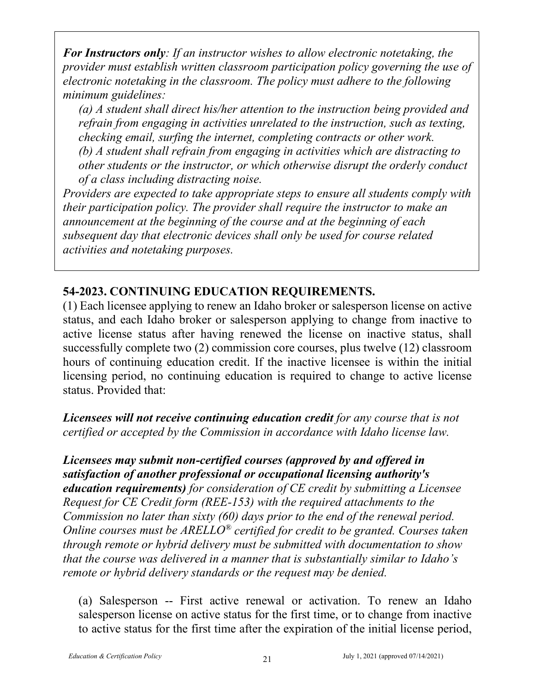*For Instructors only: If an instructor wishes to allow electronic notetaking, the provider must establish written classroom participation policy governing the use of electronic notetaking in the classroom. The policy must adhere to the following minimum guidelines:*

*(a) A student shall direct his/her attention to the instruction being provided and refrain from engaging in activities unrelated to the instruction, such as texting, checking email, surfing the internet, completing contracts or other work. (b) A student shall refrain from engaging in activities which are distracting to other students or the instructor, or which otherwise disrupt the orderly conduct of a class including distracting noise.*

*Providers are expected to take appropriate steps to ensure all students comply with their participation policy. The provider shall require the instructor to make an announcement at the beginning of the course and at the beginning of each subsequent day that electronic devices shall only be used for course related activities and notetaking purposes.*

# **54-2023. CONTINUING EDUCATION REQUIREMENTS.**

(1) Each licensee applying to renew an Idaho broker or salesperson license on active status, and each Idaho broker or salesperson applying to change from inactive to active license status after having renewed the license on inactive status, shall successfully complete two (2) commission core courses, plus twelve (12) classroom hours of continuing education credit. If the inactive licensee is within the initial licensing period, no continuing education is required to change to active license status. Provided that:

*Licensees will not receive continuing education credit for any course that is not certified or accepted by the Commission in accordance with Idaho license law.* 

*Licensees may submit non-certified courses (approved by and offered in satisfaction of another professional or occupational licensing authority's education requirements) for consideration of CE credit by submitting a Licensee Request for CE Credit form (REE-153) with the required attachments to the Commission no later than sixty (60) days prior to the end of the renewal period. Online courses must be ARELLO® certified for credit to be granted. Courses taken through remote or hybrid delivery must be submitted with documentation to show that the course was delivered in a manner that is substantially similar to Idaho's remote or hybrid delivery standards or the request may be denied.*

(a) Salesperson -- First active renewal or activation. To renew an Idaho salesperson license on active status for the first time, or to change from inactive to active status for the first time after the expiration of the initial license period,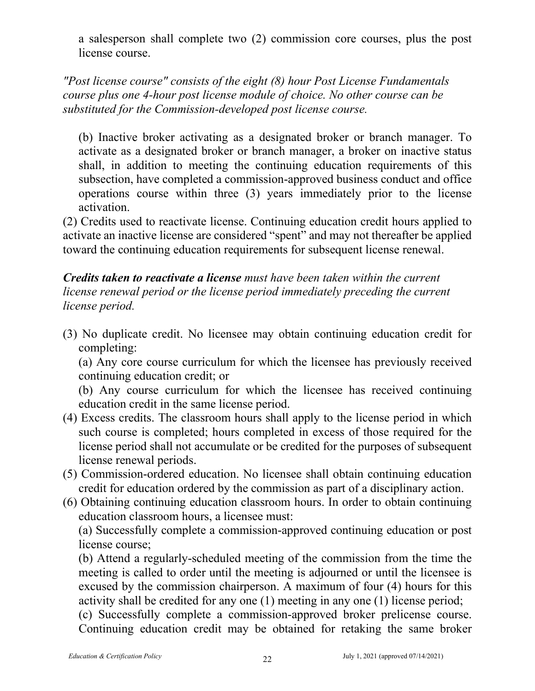a salesperson shall complete two (2) commission core courses, plus the post license course.

## *"Post license course" consists of the eight (8) hour Post License Fundamentals course plus one 4-hour post license module of choice. No other course can be substituted for the Commission-developed post license course.*

(b) Inactive broker activating as a designated broker or branch manager. To activate as a designated broker or branch manager, a broker on inactive status shall, in addition to meeting the continuing education requirements of this subsection, have completed a commission-approved business conduct and office operations course within three (3) years immediately prior to the license activation.

(2) Credits used to reactivate license. Continuing education credit hours applied to activate an inactive license are considered "spent" and may not thereafter be applied toward the continuing education requirements for subsequent license renewal.

## *Credits taken to reactivate a license must have been taken within the current license renewal period or the license period immediately preceding the current license period.*

(3) No duplicate credit. No licensee may obtain continuing education credit for completing:

(a) Any core course curriculum for which the licensee has previously received continuing education credit; or

(b) Any course curriculum for which the licensee has received continuing education credit in the same license period.

- (4) Excess credits. The classroom hours shall apply to the license period in which such course is completed; hours completed in excess of those required for the license period shall not accumulate or be credited for the purposes of subsequent license renewal periods.
- (5) Commission-ordered education. No licensee shall obtain continuing education credit for education ordered by the commission as part of a disciplinary action.
- (6) Obtaining continuing education classroom hours. In order to obtain continuing education classroom hours, a licensee must:

(a) Successfully complete a commission-approved continuing education or post license course;

(b) Attend a regularly-scheduled meeting of the commission from the time the meeting is called to order until the meeting is adjourned or until the licensee is excused by the commission chairperson. A maximum of four (4) hours for this activity shall be credited for any one (1) meeting in any one (1) license period;

(c) Successfully complete a commission-approved broker prelicense course. Continuing education credit may be obtained for retaking the same broker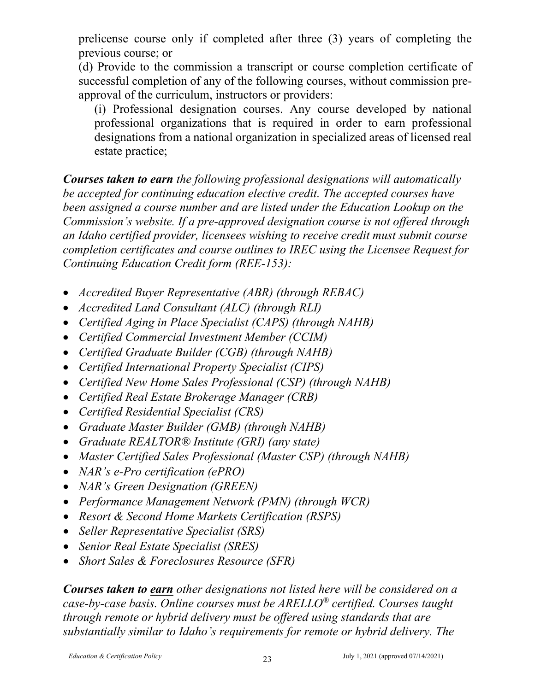prelicense course only if completed after three (3) years of completing the previous course; or

(d) Provide to the commission a transcript or course completion certificate of successful completion of any of the following courses, without commission preapproval of the curriculum, instructors or providers:

(i) Professional designation courses. Any course developed by national professional organizations that is required in order to earn professional designations from a national organization in specialized areas of licensed real estate practice;

*Courses taken to earn the following professional designations will automatically be accepted for continuing education elective credit. The accepted courses have been assigned a course number and are listed under the Education Lookup on the Commission's website. If a pre-approved designation course is not offered through an Idaho certified provider, licensees wishing to receive credit must submit course completion certificates and course outlines to IREC using the Licensee Request for Continuing Education Credit form (REE-153):*

- *Accredited Buyer Representative (ABR) (through REBAC)*
- *Accredited Land Consultant (ALC) (through RLI)*
- *Certified Aging in Place Specialist (CAPS) (through NAHB)*
- *Certified Commercial Investment Member (CCIM)*
- *Certified Graduate Builder (CGB) (through NAHB)*
- *Certified International Property Specialist (CIPS)*
- *Certified New Home Sales Professional (CSP) (through NAHB)*
- *Certified Real Estate Brokerage Manager (CRB)*
- *Certified Residential Specialist (CRS)*
- *Graduate Master Builder (GMB) (through NAHB)*
- *Graduate REALTOR® Institute (GRI) (any state)*
- *Master Certified Sales Professional (Master CSP) (through NAHB)*
- *NAR's e-Pro certification (ePRO)*
- *NAR's Green Designation (GREEN)*
- *Performance Management Network (PMN) (through WCR)*
- *Resort & Second Home Markets Certification (RSPS)*
- *Seller Representative Specialist (SRS)*
- *Senior Real Estate Specialist (SRES)*
- *Short Sales & Foreclosures Resource (SFR)*

*Courses taken to earn other designations not listed here will be considered on a case-by-case basis. Online courses must be ARELLO® certified. Courses taught through remote or hybrid delivery must be offered using standards that are substantially similar to Idaho's requirements for remote or hybrid delivery. The*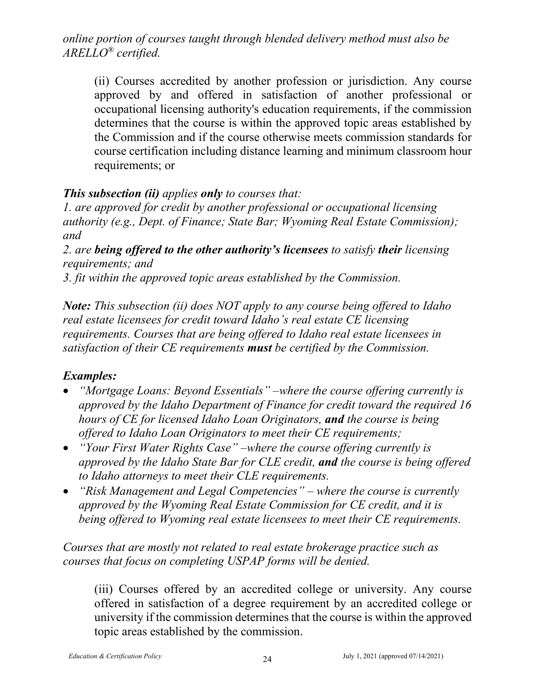*online portion of courses taught through blended delivery method must also be ARELLO® certified.*

(ii) Courses accredited by another profession or jurisdiction. Any course approved by and offered in satisfaction of another professional or occupational licensing authority's education requirements, if the commission determines that the course is within the approved topic areas established by the Commission and if the course otherwise meets commission standards for course certification including distance learning and minimum classroom hour requirements; or

#### *This subsection (ii) applies only to courses that:*

*1. are approved for credit by another professional or occupational licensing authority (e.g., Dept. of Finance; State Bar; Wyoming Real Estate Commission); and* 

*2. are being offered to the other authority's licensees to satisfy their licensing requirements; and* 

*3. fit within the approved topic areas established by the Commission.* 

*Note: This subsection (ii) does NOT apply to any course being offered to Idaho real estate licensees for credit toward Idaho's real estate CE licensing requirements. Courses that are being offered to Idaho real estate licensees in satisfaction of their CE requirements must be certified by the Commission.*

## *Examples:*

- *"Mortgage Loans: Beyond Essentials" –where the course offering currently is approved by the Idaho Department of Finance for credit toward the required 16 hours of CE for licensed Idaho Loan Originators, and the course is being offered to Idaho Loan Originators to meet their CE requirements;*
- *"Your First Water Rights Case" –where the course offering currently is approved by the Idaho State Bar for CLE credit, and the course is being offered to Idaho attorneys to meet their CLE requirements.*
- *"Risk Management and Legal Competencies" – where the course is currently approved by the Wyoming Real Estate Commission for CE credit, and it is being offered to Wyoming real estate licensees to meet their CE requirements.*

*Courses that are mostly not related to real estate brokerage practice such as courses that focus on completing USPAP forms will be denied.*

(iii) Courses offered by an accredited college or university. Any course offered in satisfaction of a degree requirement by an accredited college or university if the commission determines that the course is within the approved topic areas established by the commission.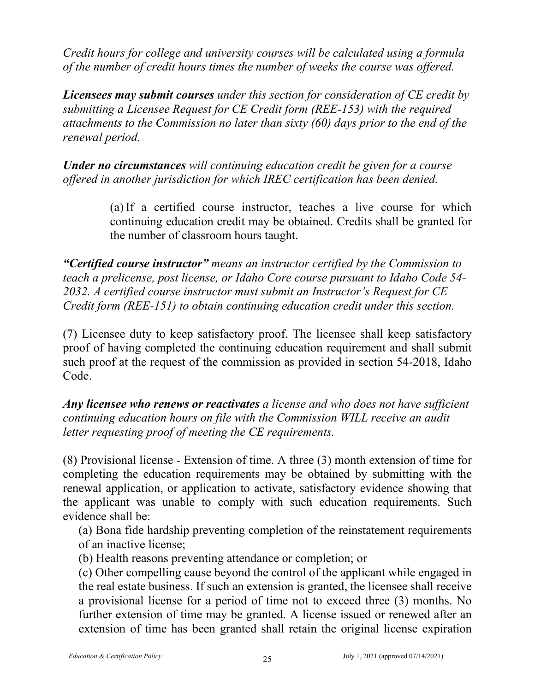*Credit hours for college and university courses will be calculated using a formula of the number of credit hours times the number of weeks the course was offered.*

*Licensees may submit courses under this section for consideration of CE credit by submitting a Licensee Request for CE Credit form (REE-153) with the required attachments to the Commission no later than sixty (60) days prior to the end of the renewal period.*

*Under no circumstances will continuing education credit be given for a course offered in another jurisdiction for which IREC certification has been denied.*

> (a) If a certified course instructor, teaches a live course for which continuing education credit may be obtained. Credits shall be granted for the number of classroom hours taught.

*"Certified course instructor" means an instructor certified by the Commission to teach a prelicense, post license, or Idaho Core course pursuant to Idaho Code 54- 2032. A certified course instructor must submit an Instructor's Request for CE Credit form (REE-151) to obtain continuing education credit under this section.*

(7) Licensee duty to keep satisfactory proof. The licensee shall keep satisfactory proof of having completed the continuing education requirement and shall submit such proof at the request of the commission as provided in section 54-2018, Idaho Code.

*Any licensee who renews or reactivates a license and who does not have sufficient continuing education hours on file with the Commission WILL receive an audit letter requesting proof of meeting the CE requirements.*

(8) Provisional license - Extension of time. A three (3) month extension of time for completing the education requirements may be obtained by submitting with the renewal application, or application to activate, satisfactory evidence showing that the applicant was unable to comply with such education requirements. Such evidence shall be:

(a) Bona fide hardship preventing completion of the reinstatement requirements of an inactive license;

- (b) Health reasons preventing attendance or completion; or
- (c) Other compelling cause beyond the control of the applicant while engaged in the real estate business. If such an extension is granted, the licensee shall receive a provisional license for a period of time not to exceed three (3) months. No further extension of time may be granted. A license issued or renewed after an extension of time has been granted shall retain the original license expiration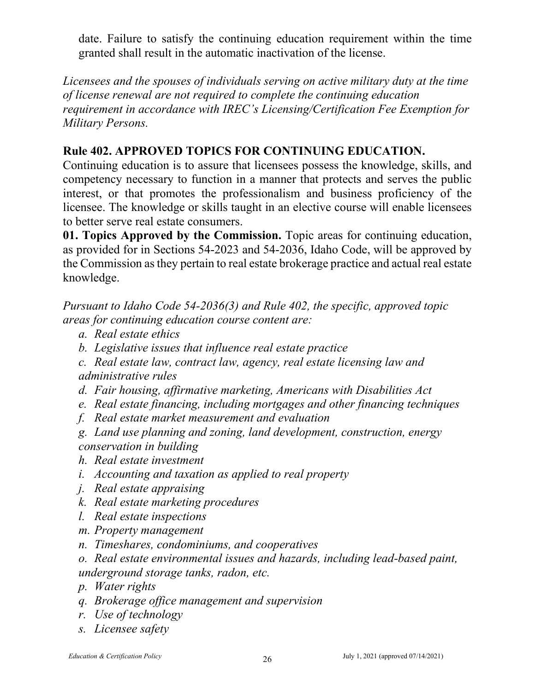date. Failure to satisfy the continuing education requirement within the time granted shall result in the automatic inactivation of the license.

*Licensees and the spouses of individuals serving on active military duty at the time of license renewal are not required to complete the continuing education requirement in accordance with IREC's Licensing/Certification Fee Exemption for Military Persons.*

## **Rule 402. APPROVED TOPICS FOR CONTINUING EDUCATION.**

Continuing education is to assure that licensees possess the knowledge, skills, and competency necessary to function in a manner that protects and serves the public interest, or that promotes the professionalism and business proficiency of the licensee. The knowledge or skills taught in an elective course will enable licensees to better serve real estate consumers.

**01. Topics Approved by the Commission.** Topic areas for continuing education, as provided for in Sections 54-2023 and 54-2036, Idaho Code, will be approved by the Commission as they pertain to real estate brokerage practice and actual real estate knowledge.

*Pursuant to Idaho Code 54-2036(3) and Rule 402, the specific, approved topic areas for continuing education course content are:*

- *a. Real estate ethics*
- *b. Legislative issues that influence real estate practice*
- *c. Real estate law, contract law, agency, real estate licensing law and administrative rules*
- *d. Fair housing, affirmative marketing, Americans with Disabilities Act*
- *e. Real estate financing, including mortgages and other financing techniques*
- *f. Real estate market measurement and evaluation*
- *g. Land use planning and zoning, land development, construction, energy conservation in building*
- *h. Real estate investment*
- *i. Accounting and taxation as applied to real property*
- *j. Real estate appraising*
- *k. Real estate marketing procedures*
- *l. Real estate inspections*
- *m. Property management*
- *n. Timeshares, condominiums, and cooperatives*
- *o. Real estate environmental issues and hazards, including lead-based paint, underground storage tanks, radon, etc.*
- *p. Water rights*
- *q. Brokerage office management and supervision*
- *r. Use of technology*
- *s. Licensee safety*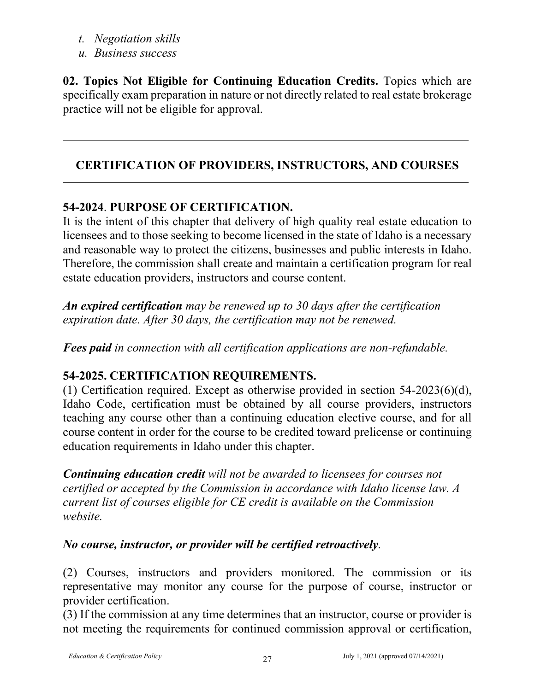- *t. Negotiation skills*
- *u. Business success*

**02. Topics Not Eligible for Continuing Education Credits.** Topics which are specifically exam preparation in nature or not directly related to real estate brokerage practice will not be eligible for approval.

# **CERTIFICATION OF PROVIDERS, INSTRUCTORS, AND COURSES**

# **54-2024**. **PURPOSE OF CERTIFICATION.**

It is the intent of this chapter that delivery of high quality real estate education to licensees and to those seeking to become licensed in the state of Idaho is a necessary and reasonable way to protect the citizens, businesses and public interests in Idaho. Therefore, the commission shall create and maintain a certification program for real estate education providers, instructors and course content.

*An expired certification may be renewed up to 30 days after the certification expiration date. After 30 days, the certification may not be renewed.* 

*Fees paid in connection with all certification applications are non-refundable.*

# **54-2025. CERTIFICATION REQUIREMENTS.**

(1) Certification required. Except as otherwise provided in section 54-2023(6)(d), Idaho Code, certification must be obtained by all course providers, instructors teaching any course other than a continuing education elective course, and for all course content in order for the course to be credited toward prelicense or continuing education requirements in Idaho under this chapter.

*Continuing education credit will not be awarded to licensees for courses not certified or accepted by the Commission in accordance with Idaho license law. A current list of courses eligible for CE credit is available on the Commission website.*

## *No course, instructor, or provider will be certified retroactively.*

(2) Courses, instructors and providers monitored. The commission or its representative may monitor any course for the purpose of course, instructor or provider certification.

(3) If the commission at any time determines that an instructor, course or provider is not meeting the requirements for continued commission approval or certification,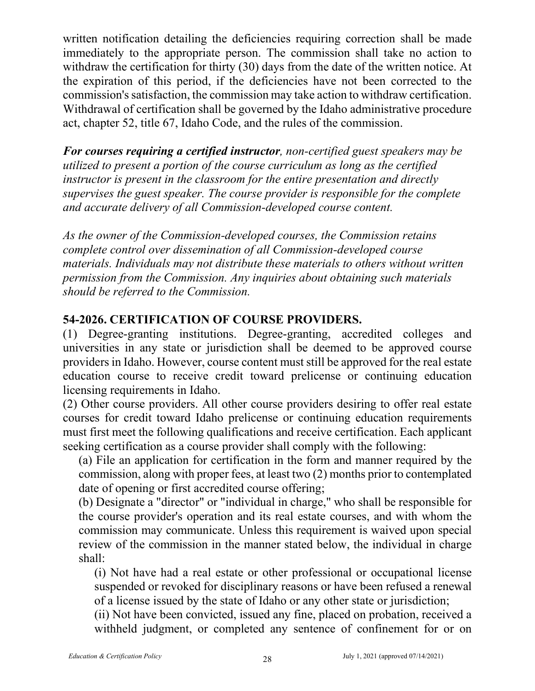written notification detailing the deficiencies requiring correction shall be made immediately to the appropriate person. The commission shall take no action to withdraw the certification for thirty (30) days from the date of the written notice. At the expiration of this period, if the deficiencies have not been corrected to the commission's satisfaction, the commission may take action to withdraw certification. Withdrawal of certification shall be governed by the Idaho administrative procedure act, chapter 52, title 67, Idaho Code, and the rules of the commission.

*For courses requiring a certified instructor, non-certified guest speakers may be utilized to present a portion of the course curriculum as long as the certified instructor is present in the classroom for the entire presentation and directly supervises the guest speaker. The course provider is responsible for the complete and accurate delivery of all Commission-developed course content.*

*As the owner of the Commission-developed courses, the Commission retains complete control over dissemination of all Commission-developed course materials. Individuals may not distribute these materials to others without written permission from the Commission. Any inquiries about obtaining such materials should be referred to the Commission.* 

## **54-2026. CERTIFICATION OF COURSE PROVIDERS.**

(1) Degree-granting institutions. Degree-granting, accredited colleges and universities in any state or jurisdiction shall be deemed to be approved course providers in Idaho. However, course content must still be approved for the real estate education course to receive credit toward prelicense or continuing education licensing requirements in Idaho.

(2) Other course providers. All other course providers desiring to offer real estate courses for credit toward Idaho prelicense or continuing education requirements must first meet the following qualifications and receive certification. Each applicant seeking certification as a course provider shall comply with the following:

(a) File an application for certification in the form and manner required by the commission, along with proper fees, at least two (2) months prior to contemplated date of opening or first accredited course offering;

(b) Designate a "director" or "individual in charge," who shall be responsible for the course provider's operation and its real estate courses, and with whom the commission may communicate. Unless this requirement is waived upon special review of the commission in the manner stated below, the individual in charge shall:

(i) Not have had a real estate or other professional or occupational license suspended or revoked for disciplinary reasons or have been refused a renewal of a license issued by the state of Idaho or any other state or jurisdiction;

(ii) Not have been convicted, issued any fine, placed on probation, received a withheld judgment, or completed any sentence of confinement for or on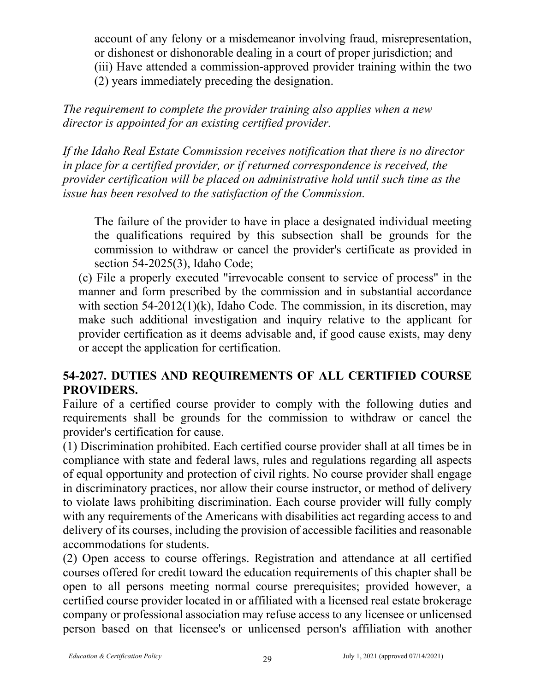account of any felony or a misdemeanor involving fraud, misrepresentation, or dishonest or dishonorable dealing in a court of proper jurisdiction; and (iii) Have attended a commission-approved provider training within the two (2) years immediately preceding the designation.

*The requirement to complete the provider training also applies when a new director is appointed for an existing certified provider.*

*If the Idaho Real Estate Commission receives notification that there is no director in place for a certified provider, or if returned correspondence is received, the provider certification will be placed on administrative hold until such time as the issue has been resolved to the satisfaction of the Commission.* 

The failure of the provider to have in place a designated individual meeting the qualifications required by this subsection shall be grounds for the commission to withdraw or cancel the provider's certificate as provided in section 54-2025(3), Idaho Code;

(c) File a properly executed "irrevocable consent to service of process" in the manner and form prescribed by the commission and in substantial accordance with section 54-2012(1)(k), Idaho Code. The commission, in its discretion, may make such additional investigation and inquiry relative to the applicant for provider certification as it deems advisable and, if good cause exists, may deny or accept the application for certification.

# **54-2027. DUTIES AND REQUIREMENTS OF ALL CERTIFIED COURSE PROVIDERS.**

Failure of a certified course provider to comply with the following duties and requirements shall be grounds for the commission to withdraw or cancel the provider's certification for cause.

(1) Discrimination prohibited. Each certified course provider shall at all times be in compliance with state and federal laws, rules and regulations regarding all aspects of equal opportunity and protection of civil rights. No course provider shall engage in discriminatory practices, nor allow their course instructor, or method of delivery to violate laws prohibiting discrimination. Each course provider will fully comply with any requirements of the Americans with disabilities act regarding access to and delivery of its courses, including the provision of accessible facilities and reasonable accommodations for students.

(2) Open access to course offerings. Registration and attendance at all certified courses offered for credit toward the education requirements of this chapter shall be open to all persons meeting normal course prerequisites; provided however, a certified course provider located in or affiliated with a licensed real estate brokerage company or professional association may refuse access to any licensee or unlicensed person based on that licensee's or unlicensed person's affiliation with another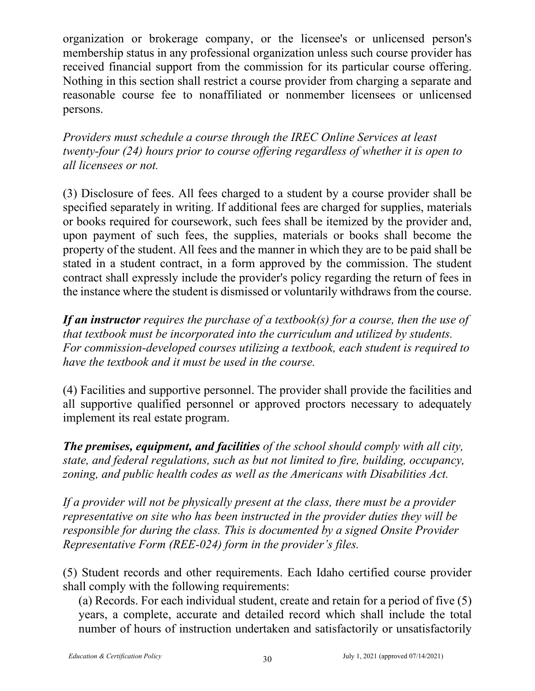organization or brokerage company, or the licensee's or unlicensed person's membership status in any professional organization unless such course provider has received financial support from the commission for its particular course offering. Nothing in this section shall restrict a course provider from charging a separate and reasonable course fee to nonaffiliated or nonmember licensees or unlicensed persons.

*Providers must schedule a course through the IREC Online Services at least twenty-four (24) hours prior to course offering regardless of whether it is open to all licensees or not.*

(3) Disclosure of fees. All fees charged to a student by a course provider shall be specified separately in writing. If additional fees are charged for supplies, materials or books required for coursework, such fees shall be itemized by the provider and, upon payment of such fees, the supplies, materials or books shall become the property of the student. All fees and the manner in which they are to be paid shall be stated in a student contract, in a form approved by the commission. The student contract shall expressly include the provider's policy regarding the return of fees in the instance where the student is dismissed or voluntarily withdraws from the course.

*If an instructor requires the purchase of a textbook(s) for a course, then the use of that textbook must be incorporated into the curriculum and utilized by students. For commission-developed courses utilizing a textbook, each student is required to have the textbook and it must be used in the course.*

(4) Facilities and supportive personnel. The provider shall provide the facilities and all supportive qualified personnel or approved proctors necessary to adequately implement its real estate program.

*The premises, equipment, and facilities of the school should comply with all city, state, and federal regulations, such as but not limited to fire, building, occupancy, zoning, and public health codes as well as the Americans with Disabilities Act.*

*If a provider will not be physically present at the class, there must be a provider representative on site who has been instructed in the provider duties they will be responsible for during the class. This is documented by a signed Onsite Provider Representative Form (REE-024) form in the provider's files.*

(5) Student records and other requirements. Each Idaho certified course provider shall comply with the following requirements:

(a) Records. For each individual student, create and retain for a period of five (5) years, a complete, accurate and detailed record which shall include the total number of hours of instruction undertaken and satisfactorily or unsatisfactorily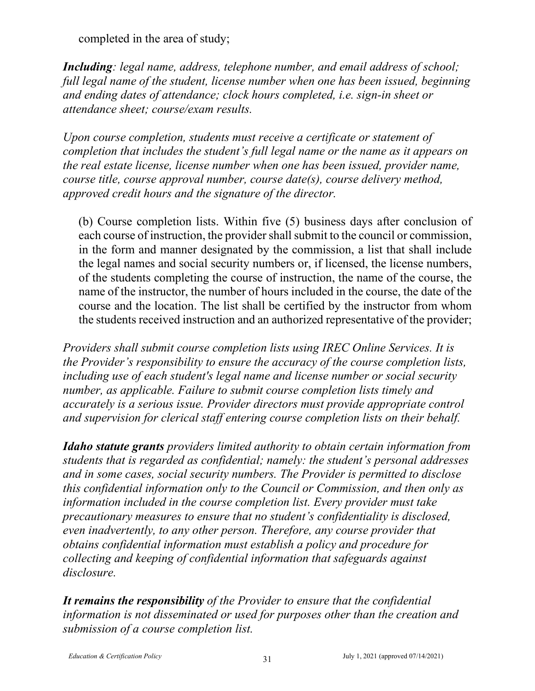completed in the area of study;

*Including: legal name, address, telephone number, and email address of school; full legal name of the student, license number when one has been issued, beginning and ending dates of attendance; clock hours completed, i.e. sign-in sheet or attendance sheet; course/exam results.*

*Upon course completion, students must receive a certificate or statement of completion that includes the student's full legal name or the name as it appears on the real estate license, license number when one has been issued, provider name, course title, course approval number, course date(s), course delivery method, approved credit hours and the signature of the director.*

(b) Course completion lists. Within five (5) business days after conclusion of each course of instruction, the provider shall submit to the council or commission, in the form and manner designated by the commission, a list that shall include the legal names and social security numbers or, if licensed, the license numbers, of the students completing the course of instruction, the name of the course, the name of the instructor, the number of hours included in the course, the date of the course and the location. The list shall be certified by the instructor from whom the students received instruction and an authorized representative of the provider;

*Providers shall submit course completion lists using IREC Online Services. It is the Provider's responsibility to ensure the accuracy of the course completion lists, including use of each student's legal name and license number or social security number, as applicable. Failure to submit course completion lists timely and accurately is a serious issue. Provider directors must provide appropriate control and supervision for clerical staff entering course completion lists on their behalf.*

*Idaho statute grants providers limited authority to obtain certain information from students that is regarded as confidential; namely: the student's personal addresses and in some cases, social security numbers. The Provider is permitted to disclose this confidential information only to the Council or Commission, and then only as information included in the course completion list. Every provider must take precautionary measures to ensure that no student's confidentiality is disclosed, even inadvertently, to any other person. Therefore, any course provider that obtains confidential information must establish a policy and procedure for collecting and keeping of confidential information that safeguards against disclosure.*

*It remains the responsibility of the Provider to ensure that the confidential information is not disseminated or used for purposes other than the creation and submission of a course completion list.*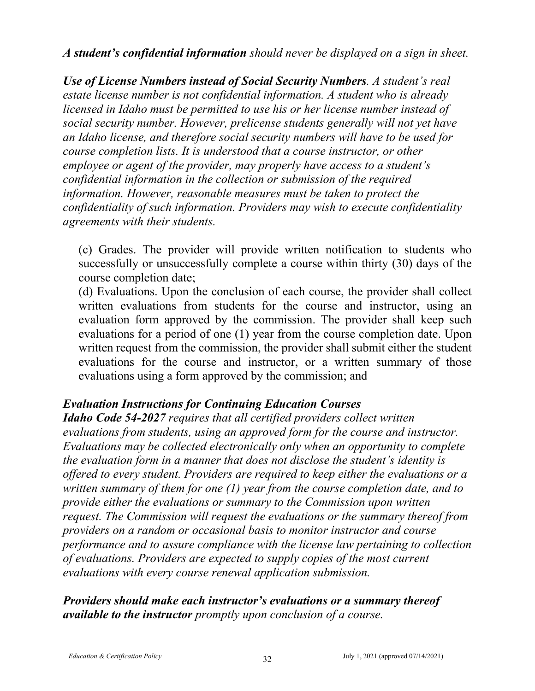*A student's confidential information should never be displayed on a sign in sheet.*

*Use of License Numbers instead of Social Security Numbers. A student's real estate license number is not confidential information. A student who is already licensed in Idaho must be permitted to use his or her license number instead of social security number. However, prelicense students generally will not yet have an Idaho license, and therefore social security numbers will have to be used for course completion lists. It is understood that a course instructor, or other employee or agent of the provider, may properly have access to a student's confidential information in the collection or submission of the required information. However, reasonable measures must be taken to protect the confidentiality of such information. Providers may wish to execute confidentiality agreements with their students.*

(c) Grades. The provider will provide written notification to students who successfully or unsuccessfully complete a course within thirty (30) days of the course completion date;

(d) Evaluations. Upon the conclusion of each course, the provider shall collect written evaluations from students for the course and instructor, using an evaluation form approved by the commission. The provider shall keep such evaluations for a period of one (1) year from the course completion date. Upon written request from the commission, the provider shall submit either the student evaluations for the course and instructor, or a written summary of those evaluations using a form approved by the commission; and

## *Evaluation Instructions for Continuing Education Courses*

*Idaho Code 54-2027 requires that all certified providers collect written evaluations from students, using an approved form for the course and instructor. Evaluations may be collected electronically only when an opportunity to complete the evaluation form in a manner that does not disclose the student's identity is offered to every student. Providers are required to keep either the evaluations or a written summary of them for one (1) year from the course completion date, and to provide either the evaluations or summary to the Commission upon written request. The Commission will request the evaluations or the summary thereof from providers on a random or occasional basis to monitor instructor and course performance and to assure compliance with the license law pertaining to collection of evaluations. Providers are expected to supply copies of the most current evaluations with every course renewal application submission.*

*Providers should make each instructor's evaluations or a summary thereof available to the instructor promptly upon conclusion of a course.*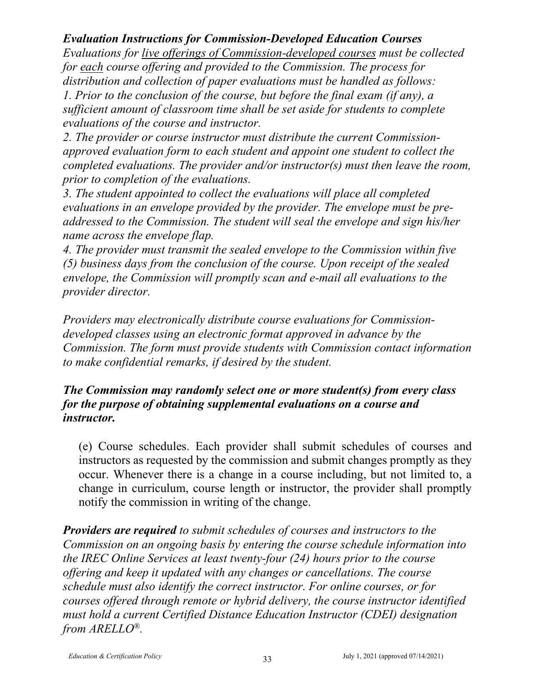## *Evaluation Instructions for Commission-Developed Education Courses*

*Evaluations for live offerings of Commission-developed courses must be collected for each course offering and provided to the Commission. The process for distribution and collection of paper evaluations must be handled as follows: 1. Prior to the conclusion of the course, but before the final exam (if any), a sufficient amount of classroom time shall be set aside for students to complete evaluations of the course and instructor.* 

*2. The provider or course instructor must distribute the current Commissionapproved evaluation form to each student and appoint one student to collect the completed evaluations. The provider and/or instructor(s) must then leave the room, prior to completion of the evaluations.*

*3. The student appointed to collect the evaluations will place all completed evaluations in an envelope provided by the provider. The envelope must be preaddressed to the Commission. The student will seal the envelope and sign his/her name across the envelope flap.* 

*4. The provider must transmit the sealed envelope to the Commission within five (5) business days from the conclusion of the course. Upon receipt of the sealed envelope, the Commission will promptly scan and e-mail all evaluations to the provider director.*

*Providers may electronically distribute course evaluations for Commissiondeveloped classes using an electronic format approved in advance by the Commission. The form must provide students with Commission contact information to make confidential remarks, if desired by the student.* 

#### *The Commission may randomly select one or more student(s) from every class for the purpose of obtaining supplemental evaluations on a course and instructor.*

(e) Course schedules. Each provider shall submit schedules of courses and instructors as requested by the commission and submit changes promptly as they occur. Whenever there is a change in a course including, but not limited to, a change in curriculum, course length or instructor, the provider shall promptly notify the commission in writing of the change.

*Providers are required to submit schedules of courses and instructors to the Commission on an ongoing basis by entering the course schedule information into the IREC Online Services at least twenty-four (24) hours prior to the course offering and keep it updated with any changes or cancellations. The course schedule must also identify the correct instructor. For online courses, or for courses offered through remote or hybrid delivery, the course instructor identified must hold a current Certified Distance Education Instructor (CDEI) designation from ARELLO®.*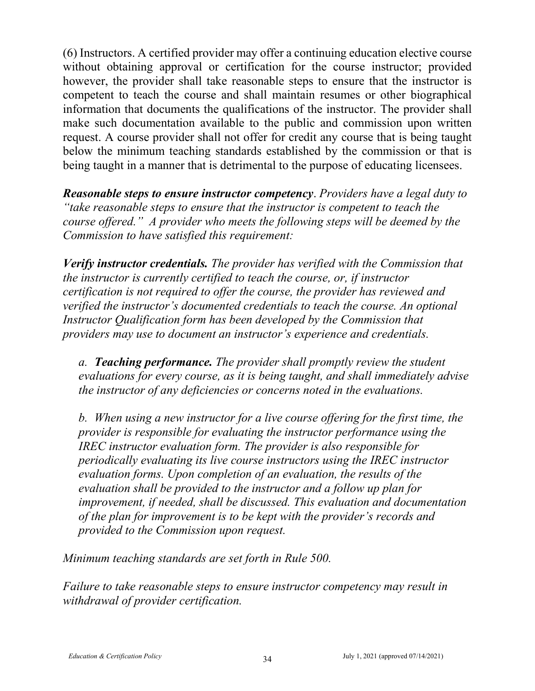(6) Instructors. A certified provider may offer a continuing education elective course without obtaining approval or certification for the course instructor; provided however, the provider shall take reasonable steps to ensure that the instructor is competent to teach the course and shall maintain resumes or other biographical information that documents the qualifications of the instructor. The provider shall make such documentation available to the public and commission upon written request. A course provider shall not offer for credit any course that is being taught below the minimum teaching standards established by the commission or that is being taught in a manner that is detrimental to the purpose of educating licensees.

*Reasonable steps to ensure instructor competency*. *Providers have a legal duty to "take reasonable steps to ensure that the instructor is competent to teach the course offered." A provider who meets the following steps will be deemed by the Commission to have satisfied this requirement:*

*Verify instructor credentials. The provider has verified with the Commission that the instructor is currently certified to teach the course, or, if instructor certification is not required to offer the course, the provider has reviewed and verified the instructor's documented credentials to teach the course. An optional Instructor Qualification form has been developed by the Commission that providers may use to document an instructor's experience and credentials.*

*a. Teaching performance. The provider shall promptly review the student evaluations for every course, as it is being taught, and shall immediately advise the instructor of any deficiencies or concerns noted in the evaluations.* 

*b. When using a new instructor for a live course offering for the first time, the provider is responsible for evaluating the instructor performance using the IREC instructor evaluation form. The provider is also responsible for periodically evaluating its live course instructors using the IREC instructor evaluation forms. Upon completion of an evaluation, the results of the evaluation shall be provided to the instructor and a follow up plan for improvement, if needed, shall be discussed. This evaluation and documentation of the plan for improvement is to be kept with the provider's records and provided to the Commission upon request.* 

*Minimum teaching standards are set forth in Rule 500.*

*Failure to take reasonable steps to ensure instructor competency may result in withdrawal of provider certification.*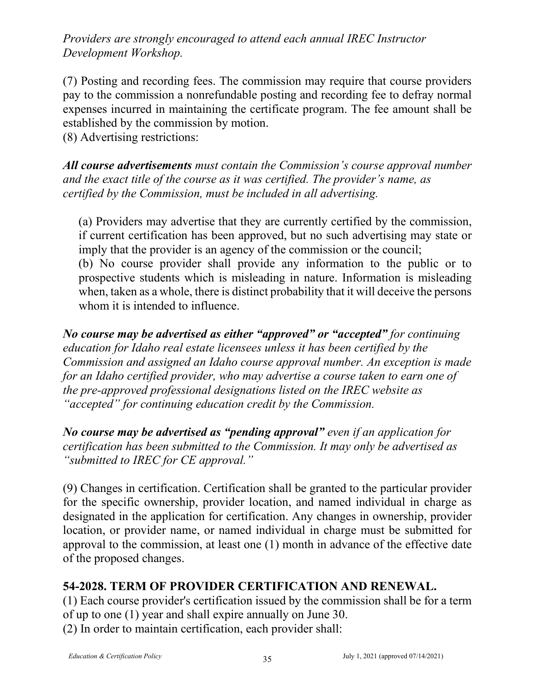*Providers are strongly encouraged to attend each annual IREC Instructor Development Workshop.*

(7) Posting and recording fees. The commission may require that course providers pay to the commission a nonrefundable posting and recording fee to defray normal expenses incurred in maintaining the certificate program. The fee amount shall be established by the commission by motion.

(8) Advertising restrictions:

*All course advertisements must contain the Commission's course approval number and the exact title of the course as it was certified. The provider's name, as certified by the Commission, must be included in all advertising.* 

(a) Providers may advertise that they are currently certified by the commission, if current certification has been approved, but no such advertising may state or imply that the provider is an agency of the commission or the council; (b) No course provider shall provide any information to the public or to prospective students which is misleading in nature. Information is misleading when, taken as a whole, there is distinct probability that it will deceive the persons whom it is intended to influence.

*No course may be advertised as either "approved" or "accepted" for continuing education for Idaho real estate licensees unless it has been certified by the Commission and assigned an Idaho course approval number. An exception is made for an Idaho certified provider, who may advertise a course taken to earn one of the pre-approved professional designations listed on the IREC website as "accepted" for continuing education credit by the Commission.*

*No course may be advertised as "pending approval" even if an application for certification has been submitted to the Commission. It may only be advertised as "submitted to IREC for CE approval."*

(9) Changes in certification. Certification shall be granted to the particular provider for the specific ownership, provider location, and named individual in charge as designated in the application for certification. Any changes in ownership, provider location, or provider name, or named individual in charge must be submitted for approval to the commission, at least one (1) month in advance of the effective date of the proposed changes.

# **54-2028. TERM OF PROVIDER CERTIFICATION AND RENEWAL.**

(1) Each course provider's certification issued by the commission shall be for a term of up to one (1) year and shall expire annually on June 30.

(2) In order to maintain certification, each provider shall: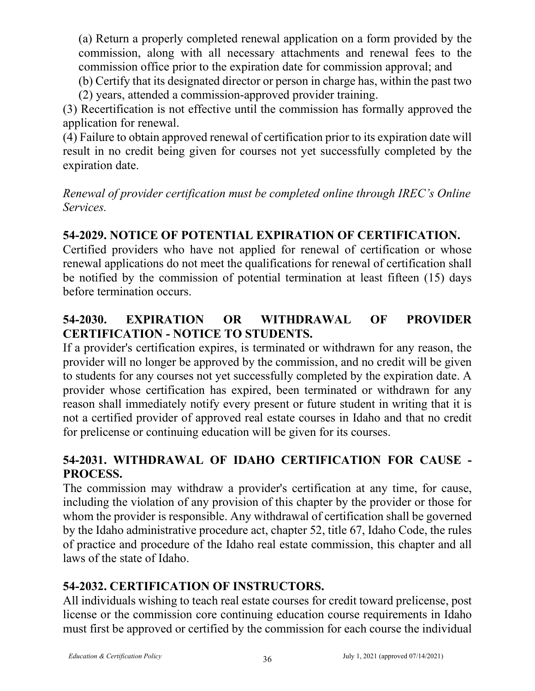(a) Return a properly completed renewal application on a form provided by the commission, along with all necessary attachments and renewal fees to the commission office prior to the expiration date for commission approval; and

(b) Certify that its designated director or person in charge has, within the past two

(2) years, attended a commission-approved provider training.

(3) Recertification is not effective until the commission has formally approved the application for renewal.

(4) Failure to obtain approved renewal of certification prior to its expiration date will result in no credit being given for courses not yet successfully completed by the expiration date.

*Renewal of provider certification must be completed online through IREC's Online Services.*

# **54-2029. NOTICE OF POTENTIAL EXPIRATION OF CERTIFICATION.**

Certified providers who have not applied for renewal of certification or whose renewal applications do not meet the qualifications for renewal of certification shall be notified by the commission of potential termination at least fifteen (15) days before termination occurs.

# **54-2030. EXPIRATION OR WITHDRAWAL OF PROVIDER CERTIFICATION - NOTICE TO STUDENTS.**

If a provider's certification expires, is terminated or withdrawn for any reason, the provider will no longer be approved by the commission, and no credit will be given to students for any courses not yet successfully completed by the expiration date. A provider whose certification has expired, been terminated or withdrawn for any reason shall immediately notify every present or future student in writing that it is not a certified provider of approved real estate courses in Idaho and that no credit for prelicense or continuing education will be given for its courses.

# **54-2031. WITHDRAWAL OF IDAHO CERTIFICATION FOR CAUSE - PROCESS.**

The commission may withdraw a provider's certification at any time, for cause, including the violation of any provision of this chapter by the provider or those for whom the provider is responsible. Any withdrawal of certification shall be governed by the Idaho administrative procedure act, chapter 52, title 67, Idaho Code, the rules of practice and procedure of the Idaho real estate commission, this chapter and all laws of the state of Idaho.

# **54-2032. CERTIFICATION OF INSTRUCTORS.**

All individuals wishing to teach real estate courses for credit toward prelicense, post license or the commission core continuing education course requirements in Idaho must first be approved or certified by the commission for each course the individual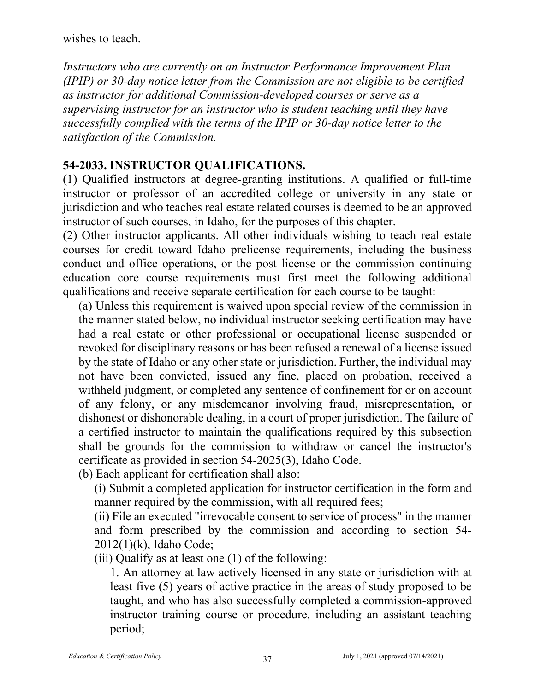wishes to teach.

*Instructors who are currently on an Instructor Performance Improvement Plan (IPIP) or 30-day notice letter from the Commission are not eligible to be certified as instructor for additional Commission-developed courses or serve as a supervising instructor for an instructor who is student teaching until they have successfully complied with the terms of the IPIP or 30-day notice letter to the satisfaction of the Commission.* 

#### **54-2033. INSTRUCTOR QUALIFICATIONS.**

(1) Qualified instructors at degree-granting institutions. A qualified or full-time instructor or professor of an accredited college or university in any state or jurisdiction and who teaches real estate related courses is deemed to be an approved instructor of such courses, in Idaho, for the purposes of this chapter.

(2) Other instructor applicants. All other individuals wishing to teach real estate courses for credit toward Idaho prelicense requirements, including the business conduct and office operations, or the post license or the commission continuing education core course requirements must first meet the following additional qualifications and receive separate certification for each course to be taught:

(a) Unless this requirement is waived upon special review of the commission in the manner stated below, no individual instructor seeking certification may have had a real estate or other professional or occupational license suspended or revoked for disciplinary reasons or has been refused a renewal of a license issued by the state of Idaho or any other state or jurisdiction. Further, the individual may not have been convicted, issued any fine, placed on probation, received a withheld judgment, or completed any sentence of confinement for or on account of any felony, or any misdemeanor involving fraud, misrepresentation, or dishonest or dishonorable dealing, in a court of proper jurisdiction. The failure of a certified instructor to maintain the qualifications required by this subsection shall be grounds for the commission to withdraw or cancel the instructor's certificate as provided in section 54-2025(3), Idaho Code.

(b) Each applicant for certification shall also:

(i) Submit a completed application for instructor certification in the form and manner required by the commission, with all required fees;

(ii) File an executed "irrevocable consent to service of process" in the manner and form prescribed by the commission and according to section 54- 2012(1)(k), Idaho Code;

(iii) Qualify as at least one (1) of the following:

1. An attorney at law actively licensed in any state or jurisdiction with at least five (5) years of active practice in the areas of study proposed to be taught, and who has also successfully completed a commission-approved instructor training course or procedure, including an assistant teaching period;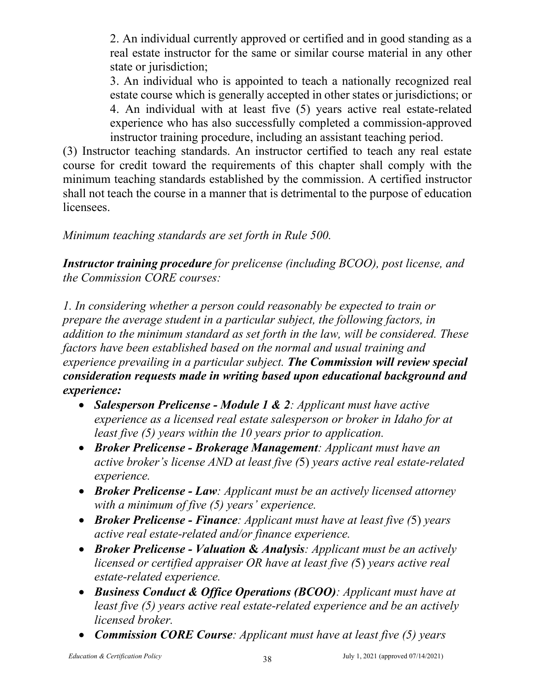2. An individual currently approved or certified and in good standing as a real estate instructor for the same or similar course material in any other state or jurisdiction;

3. An individual who is appointed to teach a nationally recognized real estate course which is generally accepted in other states or jurisdictions; or 4. An individual with at least five (5) years active real estate-related experience who has also successfully completed a commission-approved instructor training procedure, including an assistant teaching period.

(3) Instructor teaching standards. An instructor certified to teach any real estate course for credit toward the requirements of this chapter shall comply with the minimum teaching standards established by the commission. A certified instructor shall not teach the course in a manner that is detrimental to the purpose of education licensees.

*Minimum teaching standards are set forth in Rule 500.*

*Instructor training procedure for prelicense (including BCOO), post license, and the Commission CORE courses:*

*1. In considering whether a person could reasonably be expected to train or prepare the average student in a particular subject, the following factors, in addition to the minimum standard as set forth in the law, will be considered. These factors have been established based on the normal and usual training and experience prevailing in a particular subject. The Commission will review special consideration requests made in writing based upon educational background and experience:*

- *Salesperson Prelicense - Module 1 & 2: Applicant must have active experience as a licensed real estate salesperson or broker in Idaho for at least five (5) years within the 10 years prior to application.*
- *Broker Prelicense - Brokerage Management: Applicant must have an active broker's license AND at least five (*5) *years active real estate-related experience.*
- *Broker Prelicense - Law: Applicant must be an actively licensed attorney with a minimum of five (5) years' experience.*
- *Broker Prelicense - Finance: Applicant must have at least five (*5) *years active real estate-related and/or finance experience.*
- *Broker Prelicense - Valuation* **&** *Analysis: Applicant must be an actively licensed or certified appraiser OR have at least five (*5) *years active real estate-related experience.*
- *Business Conduct & Office Operations (BCOO): Applicant must have at least five (5) years active real estate-related experience and be an actively licensed broker.*
- *Commission CORE Course: Applicant must have at least five (5) years*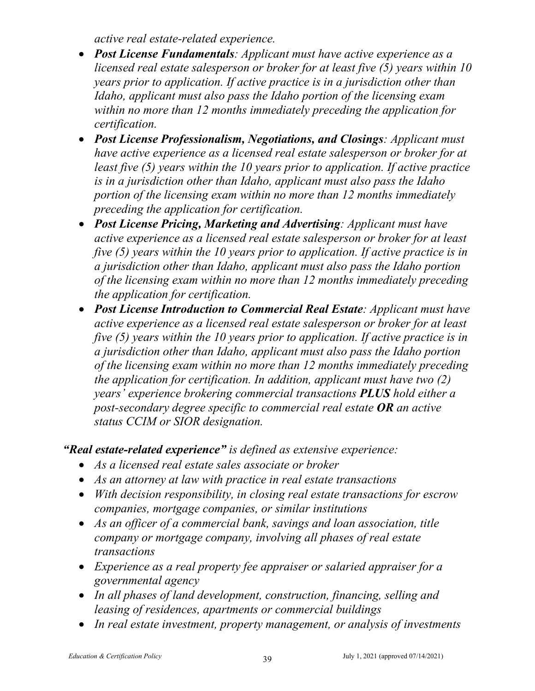*active real estate-related experience.*

- *Post License Fundamentals: Applicant must have active experience as a licensed real estate salesperson or broker for at least five (5) years within 10 years prior to application. If active practice is in a jurisdiction other than Idaho, applicant must also pass the Idaho portion of the licensing exam within no more than 12 months immediately preceding the application for certification.*
- *Post License Professionalism, Negotiations, and Closings: Applicant must have active experience as a licensed real estate salesperson or broker for at least five (5) years within the 10 years prior to application. If active practice is in a jurisdiction other than Idaho, applicant must also pass the Idaho portion of the licensing exam within no more than 12 months immediately preceding the application for certification.*
- *Post License Pricing, Marketing and Advertising: Applicant must have active experience as a licensed real estate salesperson or broker for at least five (5) years within the 10 years prior to application. If active practice is in a jurisdiction other than Idaho, applicant must also pass the Idaho portion of the licensing exam within no more than 12 months immediately preceding the application for certification.*
- *Post License Introduction to Commercial Real Estate: Applicant must have active experience as a licensed real estate salesperson or broker for at least five (5) years within the 10 years prior to application. If active practice is in a jurisdiction other than Idaho, applicant must also pass the Idaho portion of the licensing exam within no more than 12 months immediately preceding the application for certification. In addition, applicant must have two (2) years' experience brokering commercial transactions PLUS hold either a post-secondary degree specific to commercial real estate OR an active status CCIM or SIOR designation.*

*"Real estate-related experience" is defined as extensive experience:*

- *As a licensed real estate sales associate or broker*
- *As an attorney at law with practice in real estate transactions*
- *With decision responsibility, in closing real estate transactions for escrow companies, mortgage companies, or similar institutions*
- *As an officer of a commercial bank, savings and loan association, title company or mortgage company, involving all phases of real estate transactions*
- *Experience as a real property fee appraiser or salaried appraiser for a governmental agency*
- *In all phases of land development, construction, financing, selling and leasing of residences, apartments or commercial buildings*
- *In real estate investment, property management, or analysis of investments*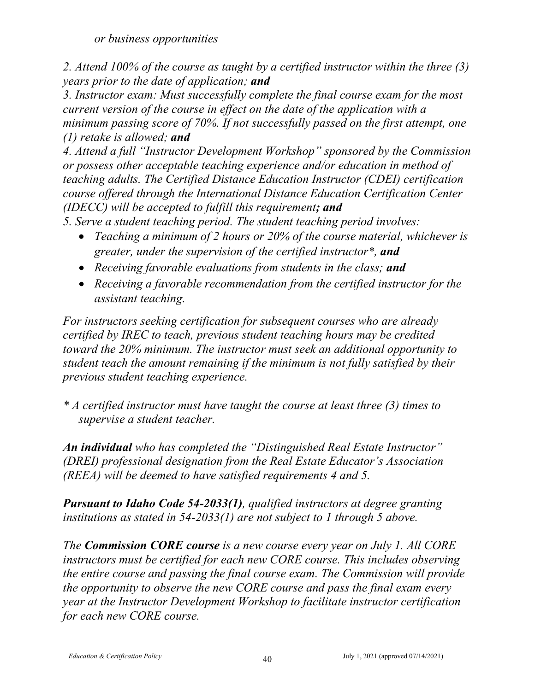*or business opportunities*

*2. Attend 100% of the course as taught by a certified instructor within the three (3) years prior to the date of application; and*

*3. Instructor exam: Must successfully complete the final course exam for the most current version of the course in effect on the date of the application with a minimum passing score of 70%. If not successfully passed on the first attempt, one (1) retake is allowed; and*

*4. Attend a full "Instructor Development Workshop" sponsored by the Commission or possess other acceptable teaching experience and/or education in method of teaching adults. The Certified Distance Education Instructor (CDEI) certification course offered through the International Distance Education Certification Center (IDECC) will be accepted to fulfill this requirement; and*

*5. Serve a student teaching period. The student teaching period involves:*

- *Teaching a minimum of 2 hours or 20% of the course material, whichever is greater, under the supervision of the certified instructor\*, and*
- *Receiving favorable evaluations from students in the class; and*
- *Receiving a favorable recommendation from the certified instructor for the assistant teaching.*

*For instructors seeking certification for subsequent courses who are already certified by IREC to teach, previous student teaching hours may be credited toward the 20% minimum. The instructor must seek an additional opportunity to student teach the amount remaining if the minimum is not fully satisfied by their previous student teaching experience.* 

*\* A certified instructor must have taught the course at least three (3) times to supervise a student teacher.*

*An individual who has completed the "Distinguished Real Estate Instructor" (DREI) professional designation from the Real Estate Educator's Association (REEA) will be deemed to have satisfied requirements 4 and 5.*

*Pursuant to Idaho Code 54-2033(1), qualified instructors at degree granting institutions as stated in 54-2033(1) are not subject to 1 through 5 above.*

*The Commission CORE course is a new course every year on July 1. All CORE instructors must be certified for each new CORE course. This includes observing the entire course and passing the final course exam. The Commission will provide the opportunity to observe the new CORE course and pass the final exam every year at the Instructor Development Workshop to facilitate instructor certification for each new CORE course.*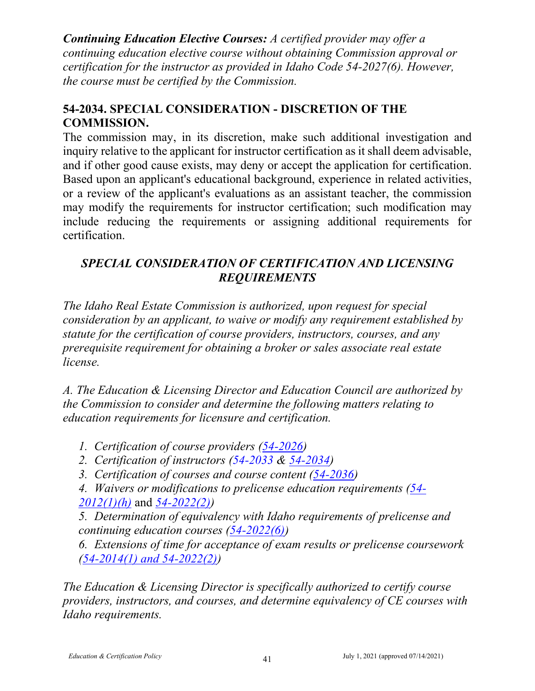*Continuing Education Elective Courses: A certified provider may offer a continuing education elective course without obtaining Commission approval or certification for the instructor as provided in Idaho Code 54-2027(6). However, the course must be certified by the Commission.*

## **54-2034. SPECIAL CONSIDERATION - DISCRETION OF THE COMMISSION.**

The commission may, in its discretion, make such additional investigation and inquiry relative to the applicant for instructor certification as it shall deem advisable, and if other good cause exists, may deny or accept the application for certification. Based upon an applicant's educational background, experience in related activities, or a review of the applicant's evaluations as an assistant teacher, the commission may modify the requirements for instructor certification; such modification may include reducing the requirements or assigning additional requirements for certification.

## *SPECIAL CONSIDERATION OF CERTIFICATION AND LICENSING REQUIREMENTS*

*The Idaho Real Estate Commission is authorized, upon request for special consideration by an applicant, to waive or modify any requirement established by statute for the certification of course providers, instructors, courses, and any prerequisite requirement for obtaining a broker or sales associate real estate license.* 

*A. The Education & Licensing Director and Education Council are authorized by the Commission to consider and determine the following matters relating to education requirements for licensure and certification.* 

- *1. Certification of course providers [\(54-2026\)](http://www.irec.idaho.gov/publcs/license-law-and-rules.pdf)*
- *2. Certification of instructors (54-2033 & [54-2034\)](http://www.irec.idaho.gov/publcs/license-law-and-rules.pdf)*
- *3. Certification of courses and course content [\(54-2036\)](http://www.irec.idaho.gov/publcs/license-law-and-rules.pdf)*

*4. Waivers or modifications to prelicense education requirements (54- 2012(1)(h)* and *54-2022(2))*

*5. Determination of equivalency with Idaho requirements of prelicense and continuing education courses [\(54-2022\(6\)\)](http://www.irec.idaho.gov/publcs/license-law-and-rules.pdf)*

*6. Extensions of time for acceptance of exam results or prelicense coursework [\(54-2014\(1\) and 54-2022\(2\)\)](http://www.irec.idaho.gov/publcs/license-law-and-rules.pdf)*

*The Education & Licensing Director is specifically authorized to certify course providers, instructors, and courses, and determine equivalency of CE courses with Idaho requirements.*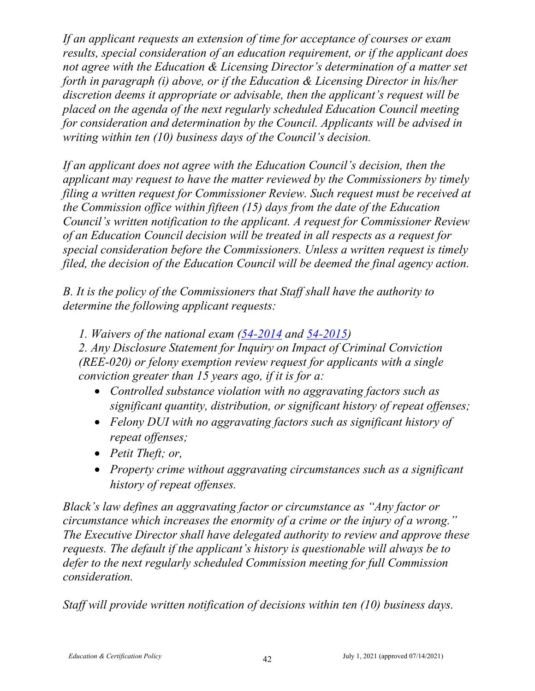*If an applicant requests an extension of time for acceptance of courses or exam results, special consideration of an education requirement, or if the applicant does not agree with the Education & Licensing Director's determination of a matter set forth in paragraph (i) above, or if the Education & Licensing Director in his/her discretion deems it appropriate or advisable, then the applicant's request will be placed on the agenda of the next regularly scheduled Education Council meeting for consideration and determination by the Council. Applicants will be advised in writing within ten (10) business days of the Council's decision.*

*If an applicant does not agree with the Education Council's decision, then the applicant may request to have the matter reviewed by the Commissioners by timely filing a written request for Commissioner Review. Such request must be received at the Commission office within fifteen (15) days from the date of the Education Council's written notification to the applicant. A request for Commissioner Review of an Education Council decision will be treated in all respects as a request for special consideration before the Commissioners. Unless a written request is timely filed, the decision of the Education Council will be deemed the final agency action.*

*B. It is the policy of the Commissioners that Staff shall have the authority to determine the following applicant requests:*

*1. Waivers of the national exam (54-2014 [and 54-2015\)](http://www.irec.idaho.gov/publcs/license-law-and-rules.pdf)*

*2. Any Disclosure Statement for Inquiry on Impact of Criminal Conviction (REE-020) or felony exemption review request for applicants with a single conviction greater than 15 years ago, if it is for a:*

- *Controlled substance violation with no aggravating factors such as significant quantity, distribution, or significant history of repeat offenses;*
- *Felony DUI with no aggravating factors such as significant history of repeat offenses;*
- *Petit Theft; or,*
- *Property crime without aggravating circumstances such as a significant history of repeat offenses.*

*Black's law defines an aggravating factor or circumstance as "Any factor or circumstance which increases the enormity of a crime or the injury of a wrong." The Executive Director shall have delegated authority to review and approve these requests. The default if the applicant's history is questionable will always be to defer to the next regularly scheduled Commission meeting for full Commission consideration.*

*Staff will provide written notification of decisions within ten (10) business days.*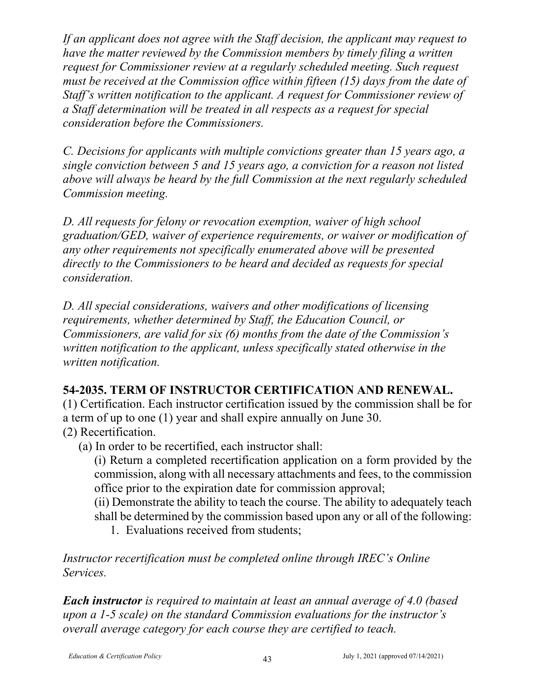*If an applicant does not agree with the Staff decision, the applicant may request to have the matter reviewed by the Commission members by timely filing a written request for Commissioner review at a regularly scheduled meeting. Such request must be received at the Commission office within fifteen (15) days from the date of Staff's written notification to the applicant. A request for Commissioner review of a Staff determination will be treated in all respects as a request for special consideration before the Commissioners.*

*C. Decisions for applicants with multiple convictions greater than 15 years ago, a single conviction between 5 and 15 years ago, a conviction for a reason not listed above will always be heard by the full Commission at the next regularly scheduled Commission meeting.*

*D. All requests for felony or revocation exemption, waiver of high school graduation/GED, waiver of experience requirements, or waiver or modification of any other requirements not specifically enumerated above will be presented directly to the Commissioners to be heard and decided as requests for special consideration.*

*D. All special considerations, waivers and other modifications of licensing requirements, whether determined by Staff, the Education Council, or Commissioners, are valid for six (6) months from the date of the Commission's written notification to the applicant, unless specifically stated otherwise in the written notification.*

# **54-2035. TERM OF INSTRUCTOR CERTIFICATION AND RENEWAL.**

(1) Certification. Each instructor certification issued by the commission shall be for a term of up to one (1) year and shall expire annually on June 30. (2) Recertification.

(a) In order to be recertified, each instructor shall:

(i) Return a completed recertification application on a form provided by the commission, along with all necessary attachments and fees, to the commission office prior to the expiration date for commission approval;

(ii) Demonstrate the ability to teach the course. The ability to adequately teach shall be determined by the commission based upon any or all of the following:

1. Evaluations received from students;

*Instructor recertification must be completed online through IREC's Online Services.*

*Each instructor is required to maintain at least an annual average of 4.0 (based upon a 1-5 scale) on the standard Commission evaluations for the instructor's overall average category for each course they are certified to teach.*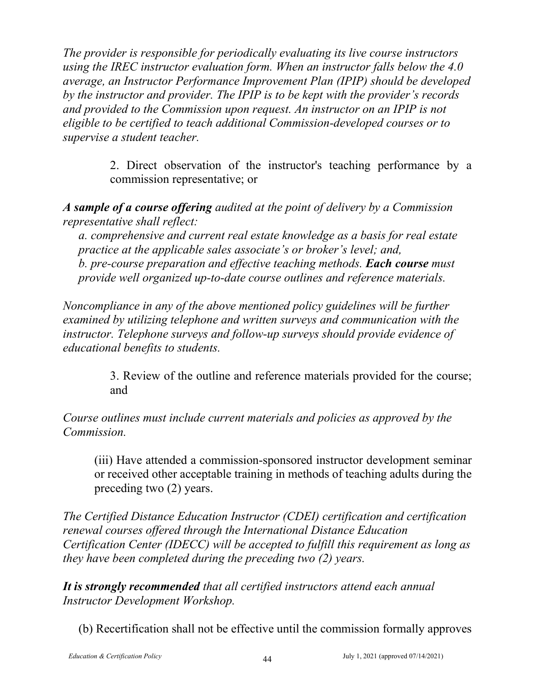*The provider is responsible for periodically evaluating its live course instructors using the IREC instructor evaluation form. When an instructor falls below the 4.0 average, an Instructor Performance Improvement Plan (IPIP) should be developed by the instructor and provider. The IPIP is to be kept with the provider's records and provided to the Commission upon request. An instructor on an IPIP is not eligible to be certified to teach additional Commission-developed courses or to supervise a student teacher.*

> 2. Direct observation of the instructor's teaching performance by a commission representative; or

*A sample of a course offering audited at the point of delivery by a Commission representative shall reflect:*

*a. comprehensive and current real estate knowledge as a basis for real estate practice at the applicable sales associate's or broker's level; and, b. pre-course preparation and effective teaching methods. Each course must provide well organized up-to-date course outlines and reference materials.*

*Noncompliance in any of the above mentioned policy guidelines will be further examined by utilizing telephone and written surveys and communication with the instructor. Telephone surveys and follow-up surveys should provide evidence of educational benefits to students.*

> 3. Review of the outline and reference materials provided for the course; and

*Course outlines must include current materials and policies as approved by the Commission.*

(iii) Have attended a commission-sponsored instructor development seminar or received other acceptable training in methods of teaching adults during the preceding two (2) years.

*The Certified Distance Education Instructor (CDEI) certification and certification renewal courses offered through the International Distance Education Certification Center (IDECC) will be accepted to fulfill this requirement as long as they have been completed during the preceding two (2) years.*

*It is strongly recommended that all certified instructors attend each annual Instructor Development Workshop.* 

(b) Recertification shall not be effective until the commission formally approves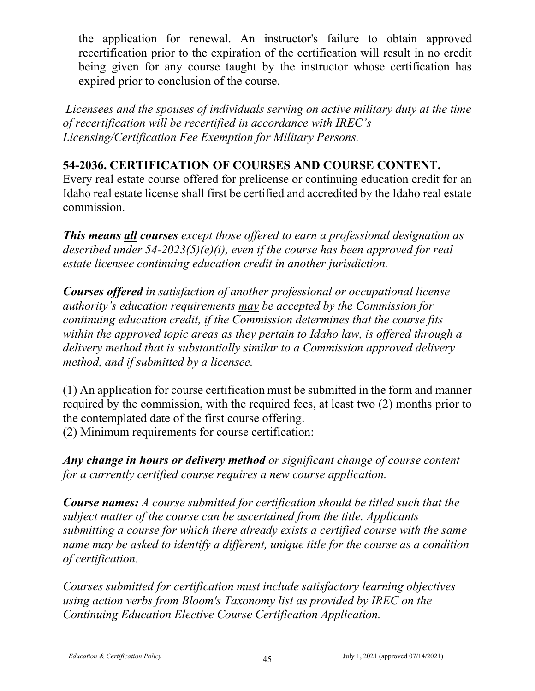the application for renewal. An instructor's failure to obtain approved recertification prior to the expiration of the certification will result in no credit being given for any course taught by the instructor whose certification has expired prior to conclusion of the course.

*Licensees and the spouses of individuals serving on active military duty at the time of recertification will be recertified in accordance with IREC's Licensing/Certification Fee Exemption for Military Persons.*

## **54-2036. CERTIFICATION OF COURSES AND COURSE CONTENT.**

Every real estate course offered for prelicense or continuing education credit for an Idaho real estate license shall first be certified and accredited by the Idaho real estate commission.

*This means all courses except those offered to earn a professional designation as described under 54-2023(5)(e)(i), even if the course has been approved for real estate licensee continuing education credit in another jurisdiction.*

*Courses offered in satisfaction of another professional or occupational license authority's education requirements may be accepted by the Commission for continuing education credit, if the Commission determines that the course fits within the approved topic areas as they pertain to Idaho law, is offered through a delivery method that is substantially similar to a Commission approved delivery method, and if submitted by a licensee.* 

(1) An application for course certification must be submitted in the form and manner required by the commission, with the required fees, at least two (2) months prior to the contemplated date of the first course offering. (2) Minimum requirements for course certification:

*Any change in hours or delivery method or significant change of course content for a currently certified course requires a new course application.* 

*Course names: A course submitted for certification should be titled such that the subject matter of the course can be ascertained from the title. Applicants submitting a course for which there already exists a certified course with the same name may be asked to identify a different, unique title for the course as a condition of certification.*

*Courses submitted for certification must include satisfactory learning objectives using action verbs from Bloom's Taxonomy list as provided by IREC on the Continuing Education Elective Course Certification Application.*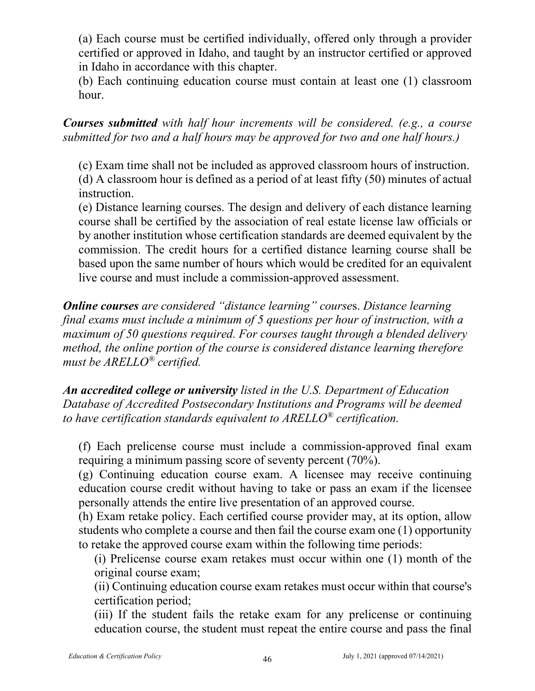(a) Each course must be certified individually, offered only through a provider certified or approved in Idaho, and taught by an instructor certified or approved in Idaho in accordance with this chapter.

(b) Each continuing education course must contain at least one (1) classroom hour.

*Courses submitted with half hour increments will be considered. (e.g., a course submitted for two and a half hours may be approved for two and one half hours.)*

(c) Exam time shall not be included as approved classroom hours of instruction. (d) A classroom hour is defined as a period of at least fifty (50) minutes of actual instruction.

(e) Distance learning courses. The design and delivery of each distance learning course shall be certified by the association of real estate license law officials or by another institution whose certification standards are deemed equivalent by the commission. The credit hours for a certified distance learning course shall be based upon the same number of hours which would be credited for an equivalent live course and must include a commission-approved assessment.

*Online courses are considered "distance learning" course*s. *Distance learning final exams must include a minimum of 5 questions per hour of instruction, with a maximum of 50 questions required. For courses taught through a blended delivery method, the online portion of the course is considered distance learning therefore must be ARELLO® certified.*

*An accredited college or university listed in the U.S. Department of Education Database of Accredited Postsecondary Institutions and Programs will be deemed to have certification standards equivalent to ARELLO® certification.*

(f) Each prelicense course must include a commission-approved final exam requiring a minimum passing score of seventy percent (70%).

(g) Continuing education course exam. A licensee may receive continuing education course credit without having to take or pass an exam if the licensee personally attends the entire live presentation of an approved course.

(h) Exam retake policy. Each certified course provider may, at its option, allow students who complete a course and then fail the course exam one (1) opportunity to retake the approved course exam within the following time periods:

(i) Prelicense course exam retakes must occur within one (1) month of the original course exam;

(ii) Continuing education course exam retakes must occur within that course's certification period;

(iii) If the student fails the retake exam for any prelicense or continuing education course, the student must repeat the entire course and pass the final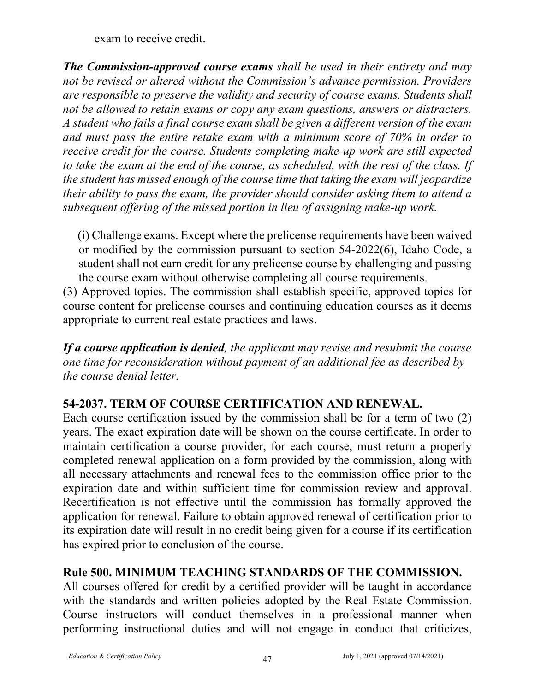exam to receive credit.

*The Commission-approved course exams shall be used in their entirety and may not be revised or altered without the Commission's advance permission. Providers are responsible to preserve the validity and security of course exams. Students shall not be allowed to retain exams or copy any exam questions, answers or distracters. A student who fails a final course exam shall be given a different version of the exam and must pass the entire retake exam with a minimum score of 70% in order to receive credit for the course. Students completing make-up work are still expected to take the exam at the end of the course, as scheduled, with the rest of the class. If the student has missed enough of the course time that taking the exam will jeopardize their ability to pass the exam, the provider should consider asking them to attend a subsequent offering of the missed portion in lieu of assigning make-up work.*

(i) Challenge exams. Except where the prelicense requirements have been waived or modified by the commission pursuant to section 54-2022(6), Idaho Code, a student shall not earn credit for any prelicense course by challenging and passing the course exam without otherwise completing all course requirements.

(3) Approved topics. The commission shall establish specific, approved topics for course content for prelicense courses and continuing education courses as it deems appropriate to current real estate practices and laws.

*If a course application is denied, the applicant may revise and resubmit the course one time for reconsideration without payment of an additional fee as described by the course denial letter.*

# **54-2037. TERM OF COURSE CERTIFICATION AND RENEWAL.**

Each course certification issued by the commission shall be for a term of two (2) years. The exact expiration date will be shown on the course certificate. In order to maintain certification a course provider, for each course, must return a properly completed renewal application on a form provided by the commission, along with all necessary attachments and renewal fees to the commission office prior to the expiration date and within sufficient time for commission review and approval. Recertification is not effective until the commission has formally approved the application for renewal. Failure to obtain approved renewal of certification prior to its expiration date will result in no credit being given for a course if its certification has expired prior to conclusion of the course.

# **Rule 500. MINIMUM TEACHING STANDARDS OF THE COMMISSION.**

All courses offered for credit by a certified provider will be taught in accordance with the standards and written policies adopted by the Real Estate Commission. Course instructors will conduct themselves in a professional manner when performing instructional duties and will not engage in conduct that criticizes,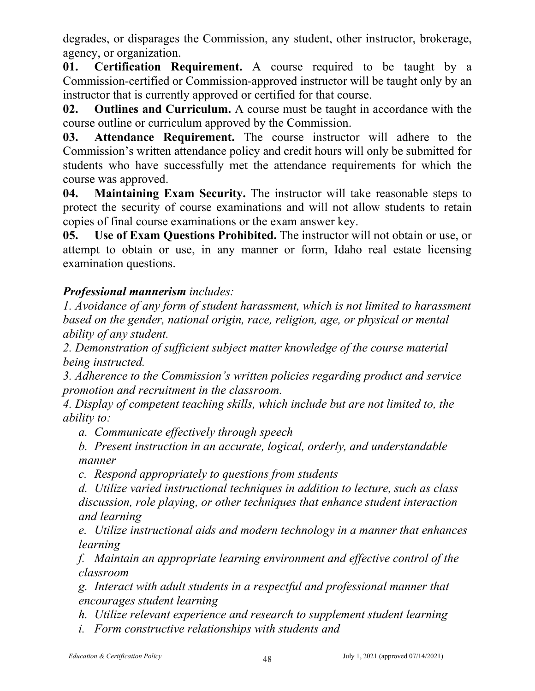degrades, or disparages the Commission, any student, other instructor, brokerage, agency, or organization.

**01. Certification Requirement.** A course required to be taught by a Commission-certified or Commission-approved instructor will be taught only by an instructor that is currently approved or certified for that course.

**02. Outlines and Curriculum.** A course must be taught in accordance with the course outline or curriculum approved by the Commission.

**03. Attendance Requirement.** The course instructor will adhere to the Commission's written attendance policy and credit hours will only be submitted for students who have successfully met the attendance requirements for which the course was approved.

**04. Maintaining Exam Security.** The instructor will take reasonable steps to protect the security of course examinations and will not allow students to retain copies of final course examinations or the exam answer key.

**05. Use of Exam Questions Prohibited.** The instructor will not obtain or use, or attempt to obtain or use, in any manner or form, Idaho real estate licensing examination questions.

# *Professional mannerism includes:*

*1. Avoidance of any form of student harassment, which is not limited to harassment based on the gender, national origin, race, religion, age, or physical or mental ability of any student.* 

*2. Demonstration of sufficient subject matter knowledge of the course material being instructed.*

*3. Adherence to the Commission's written policies regarding product and service promotion and recruitment in the classroom.*

*4. Display of competent teaching skills, which include but are not limited to, the ability to:*

*a. Communicate effectively through speech*

*b. Present instruction in an accurate, logical, orderly, and understandable manner*

*c. Respond appropriately to questions from students*

*d. Utilize varied instructional techniques in addition to lecture, such as class discussion, role playing, or other techniques that enhance student interaction and learning*

*e. Utilize instructional aids and modern technology in a manner that enhances learning*

*f. Maintain an appropriate learning environment and effective control of the classroom*

*g. Interact with adult students in a respectful and professional manner that encourages student learning* 

*h. Utilize relevant experience and research to supplement student learning*

*i. Form constructive relationships with students and*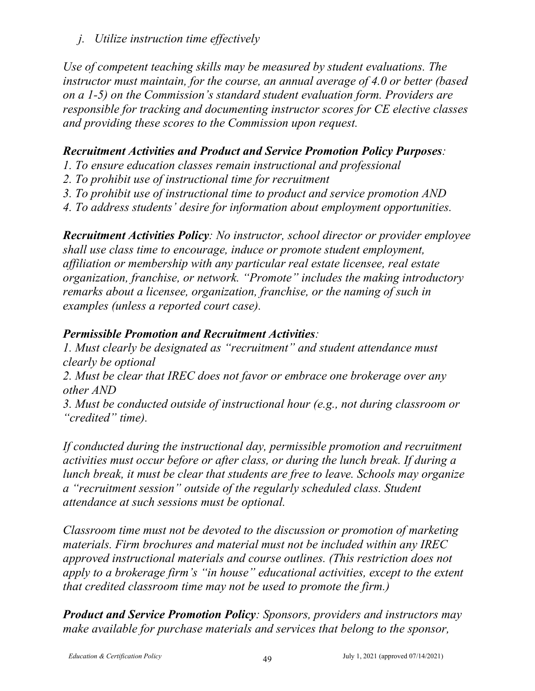*j. Utilize instruction time effectively*

*Use of competent teaching skills may be measured by student evaluations. The instructor must maintain, for the course, an annual average of 4.0 or better (based on a 1-5) on the Commission's standard student evaluation form. Providers are responsible for tracking and documenting instructor scores for CE elective classes and providing these scores to the Commission upon request.*

## *Recruitment Activities and Product and Service Promotion Policy Purposes:*

- *1. To ensure education classes remain instructional and professional*
- *2. To prohibit use of instructional time for recruitment*
- *3. To prohibit use of instructional time to product and service promotion AND*
- *4. To address students' desire for information about employment opportunities.*

*Recruitment Activities Policy: No instructor, school director or provider employee shall use class time to encourage, induce or promote student employment, affiliation or membership with any particular real estate licensee, real estate organization, franchise, or network. "Promote" includes the making introductory remarks about a licensee, organization, franchise, or the naming of such in examples (unless a reported court case).* 

## *Permissible Promotion and Recruitment Activities:*

*1. Must clearly be designated as "recruitment" and student attendance must clearly be optional*

*2. Must be clear that IREC does not favor or embrace one brokerage over any other AND*

*3. Must be conducted outside of instructional hour (e.g., not during classroom or "credited" time).*

*If conducted during the instructional day, permissible promotion and recruitment activities must occur before or after class, or during the lunch break. If during a lunch break, it must be clear that students are free to leave. Schools may organize a "recruitment session" outside of the regularly scheduled class. Student attendance at such sessions must be optional.* 

*Classroom time must not be devoted to the discussion or promotion of marketing materials. Firm brochures and material must not be included within any IREC approved instructional materials and course outlines. (This restriction does not apply to a brokerage firm's "in house" educational activities, except to the extent that credited classroom time may not be used to promote the firm.)*

*Product and Service Promotion Policy: Sponsors, providers and instructors may make available for purchase materials and services that belong to the sponsor,*